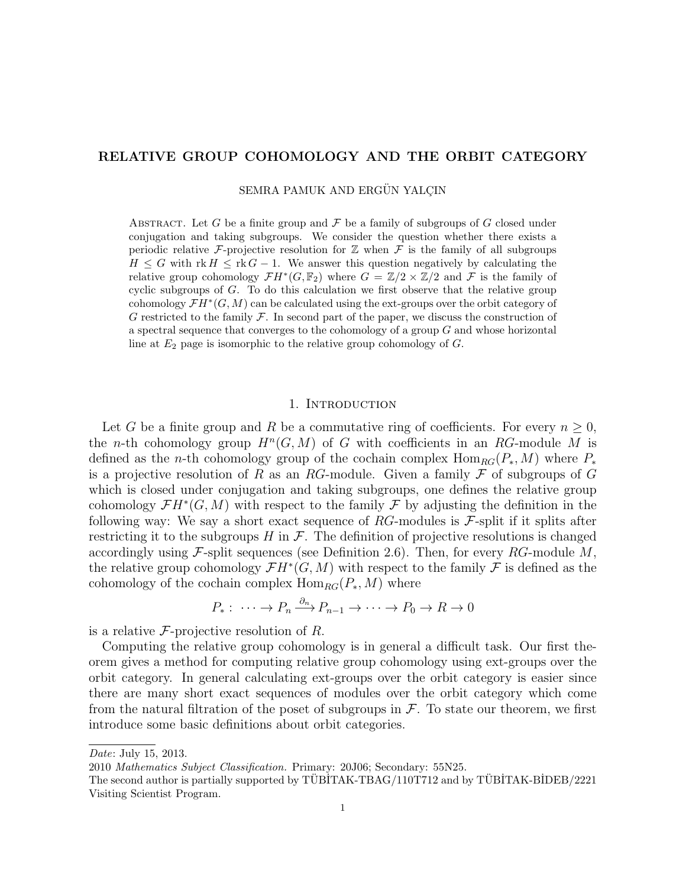# RELATIVE GROUP COHOMOLOGY AND THE ORBIT CATEGORY

SEMRA PAMUK AND ERGÜN YALCIN

ABSTRACT. Let G be a finite group and  $\mathcal F$  be a family of subgroups of G closed under conjugation and taking subgroups. We consider the question whether there exists a periodic relative F-projective resolution for  $\mathbb Z$  when F is the family of all subgroups  $H \leq G$  with rk  $H \leq r k G - 1$ . We answer this question negatively by calculating the relative group cohomology  $\mathcal{F}H^*(G,\mathbb{F}_2)$  where  $G = \mathbb{Z}/2 \times \mathbb{Z}/2$  and  $\mathcal F$  is the family of cyclic subgroups of G. To do this calculation we first observe that the relative group cohomology  $\mathcal{F}H^*(G,M)$  can be calculated using the ext-groups over the orbit category of G restricted to the family  $\mathcal F$ . In second part of the paper, we discuss the construction of a spectral sequence that converges to the cohomology of a group G and whose horizontal line at  $E_2$  page is isomorphic to the relative group cohomology of  $G$ .

#### 1. Introduction

Let G be a finite group and R be a commutative ring of coefficients. For every  $n \geq 0$ , the *n*-th cohomology group  $H^n(G, M)$  of G with coefficients in an RG-module M is defined as the *n*-th cohomology group of the cochain complex  $\text{Hom}_{RG}(P_*, M)$  where  $P_*$ is a projective resolution of R as an RG-module. Given a family  $\mathcal F$  of subgroups of G which is closed under conjugation and taking subgroups, one defines the relative group cohomology  $\mathcal{F}H^*(G,M)$  with respect to the family  $\mathcal F$  by adjusting the definition in the following way: We say a short exact sequence of  $RG$ -modules is  $\mathcal{F}$ -split if it splits after restricting it to the subgroups  $H$  in  $\mathcal F$ . The definition of projective resolutions is changed accordingly using F-split sequences (see Definition 2.6). Then, for every RG-module  $M$ , the relative group cohomology  $\mathcal{F}H^*(G,M)$  with respect to the family  $\mathcal F$  is defined as the cohomology of the cochain complex  $\text{Hom}_{RG}(P_*, M)$  where

$$
P_*: \cdots \to P_n \xrightarrow{\partial_n} P_{n-1} \to \cdots \to P_0 \to R \to 0
$$

is a relative  $\mathcal F$ -projective resolution of R.

Computing the relative group cohomology is in general a difficult task. Our first theorem gives a method for computing relative group cohomology using ext-groups over the orbit category. In general calculating ext-groups over the orbit category is easier since there are many short exact sequences of modules over the orbit category which come from the natural filtration of the poset of subgroups in  $\mathcal F$ . To state our theorem, we first introduce some basic definitions about orbit categories.

Date: July 15, 2013.

<sup>2010</sup> Mathematics Subject Classification. Primary: 20J06; Secondary: 55N25.

The second author is partially supported by TÜBİTAK-TBAG/110T712 and by TÜBİTAK-BİDEB/2221 Visiting Scientist Program.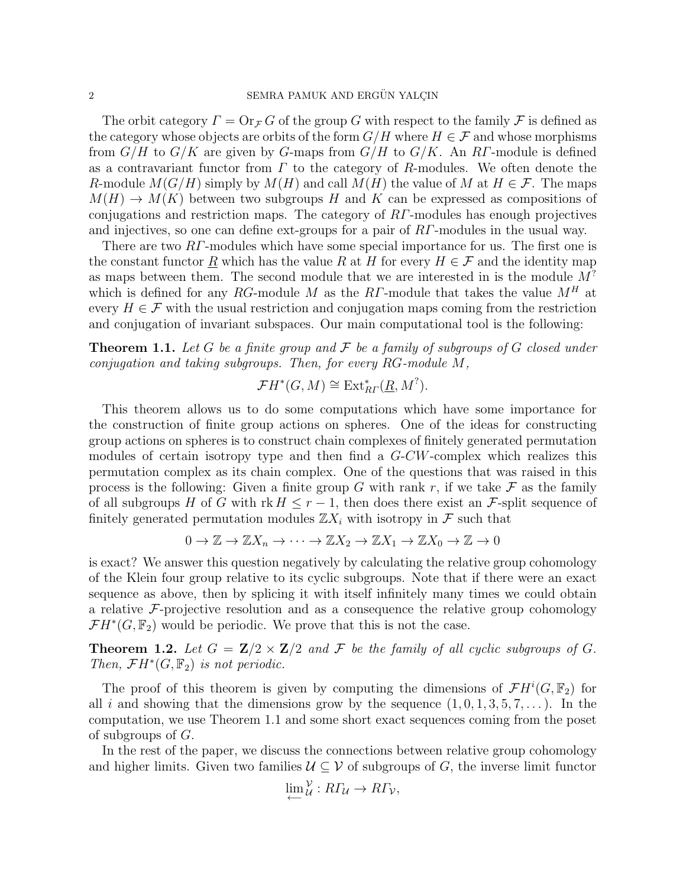The orbit category  $\Gamma = \text{Or}_{\mathcal{F}} G$  of the group G with respect to the family F is defined as the category whose objects are orbits of the form  $G/H$  where  $H \in \mathcal{F}$  and whose morphisms from  $G/H$  to  $G/K$  are given by G-maps from  $G/H$  to  $G/K$ . An RT-module is defined as a contravariant functor from  $\Gamma$  to the category of R-modules. We often denote the R-module  $M(G/H)$  simply by  $M(H)$  and call  $M(H)$  the value of M at  $H \in \mathcal{F}$ . The maps  $M(H) \to M(K)$  between two subgroups H and K can be expressed as compositions of conjugations and restriction maps. The category of  $RT$ -modules has enough projectives and injectives, so one can define ext-groups for a pair of RΓ-modules in the usual way.

There are two RΓ-modules which have some special importance for us. The first one is the constant functor R which has the value R at H for every  $H \in \mathcal{F}$  and the identity map as maps between them. The second module that we are interested in is the module  $M<sup>?</sup>$ which is defined for any RG-module M as the RT-module that takes the value  $M^H$  at every  $H \in \mathcal{F}$  with the usual restriction and conjugation maps coming from the restriction and conjugation of invariant subspaces. Our main computational tool is the following:

**Theorem 1.1.** Let G be a finite group and  $\mathcal F$  be a family of subgroups of G closed under conjugation and taking subgroups. Then, for every RG-module M,

$$
\mathcal{F}H^*(G, M) \cong \text{Ext}_{R\Gamma}^*(\underline{R}, M^?).
$$

This theorem allows us to do some computations which have some importance for the construction of finite group actions on spheres. One of the ideas for constructing group actions on spheres is to construct chain complexes of finitely generated permutation modules of certain isotropy type and then find a G-CW-complex which realizes this permutation complex as its chain complex. One of the questions that was raised in this process is the following: Given a finite group G with rank r, if we take  $\mathcal F$  as the family of all subgroups H of G with rk  $H \leq r-1$ , then does there exist an F-split sequence of finitely generated permutation modules  $\mathbb{Z}X_i$  with isotropy in F such that

$$
0 \to \mathbb{Z} \to \mathbb{Z}X_n \to \cdots \to \mathbb{Z}X_2 \to \mathbb{Z}X_1 \to \mathbb{Z}X_0 \to \mathbb{Z} \to 0
$$

is exact? We answer this question negatively by calculating the relative group cohomology of the Klein four group relative to its cyclic subgroups. Note that if there were an exact sequence as above, then by splicing it with itself infinitely many times we could obtain a relative  $\mathcal{F}\text{-projective resolution}$  and as a consequence the relative group cohomology  $\mathcal{F}H^{*}(G,\mathbb{F}_{2})$  would be periodic. We prove that this is not the case.

**Theorem 1.2.** Let  $G = \mathbb{Z}/2 \times \mathbb{Z}/2$  and  $\mathcal F$  be the family of all cyclic subgroups of  $G$ . Then,  $\mathcal{F}H^*(G,\mathbb{F}_2)$  is not periodic.

The proof of this theorem is given by computing the dimensions of  $\mathcal{F}H^{i}(G,\mathbb{F}_2)$  for all i and showing that the dimensions grow by the sequence  $(1, 0, 1, 3, 5, 7, \ldots)$ . In the computation, we use Theorem 1.1 and some short exact sequences coming from the poset of subgroups of  $G$ .

In the rest of the paper, we discuss the connections between relative group cohomology and higher limits. Given two families  $\mathcal{U} \subseteq \mathcal{V}$  of subgroups of G, the inverse limit functor

$$
\lim_{\leftarrow} \mathcal{V}_\mathcal{U} : R\Gamma_\mathcal{U} \to R\Gamma_\mathcal{V},
$$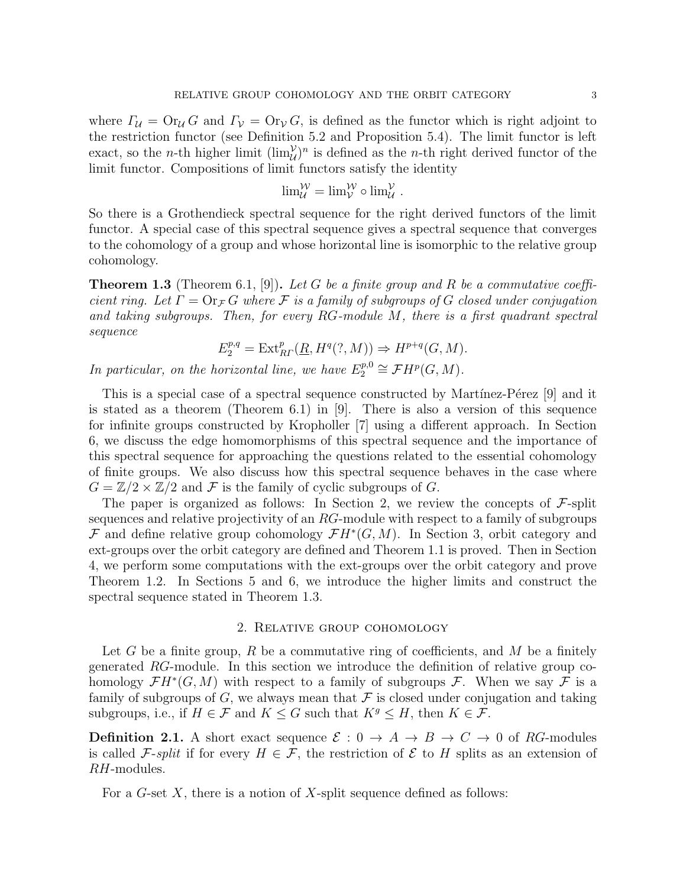where  $\Gamma_{\mathcal{U}} = \mathop{\rm Or}\nolimits_{\mathcal{U}} G$  and  $\Gamma_{\mathcal{V}} = \mathop{\rm Or}\nolimits_{\mathcal{V}} G$ , is defined as the functor which is right adjoint to the restriction functor (see Definition 5.2 and Proposition 5.4). The limit functor is left exact, so the *n*-th higher limit  $(\lim_{\mathcal{U}}^{\mathcal{V}})^n$  is defined as the *n*-th right derived functor of the limit functor. Compositions of limit functors satisfy the identity

$$
\lim_{\mathcal{U}}^{\mathcal{W}} = \lim_{\mathcal{V}}^{\mathcal{W}} \circ \lim_{\mathcal{U}}^{\mathcal{V}}.
$$

So there is a Grothendieck spectral sequence for the right derived functors of the limit functor. A special case of this spectral sequence gives a spectral sequence that converges to the cohomology of a group and whose horizontal line is isomorphic to the relative group cohomology.

**Theorem 1.3** (Theorem 6.1, [9]). Let G be a finite group and R be a commutative coefficient ring. Let  $\Gamma = \text{Or}_{\mathcal{F}} G$  where F is a family of subgroups of G closed under conjugation and taking subgroups. Then, for every  $RG$ -module  $M$ , there is a first quadrant spectral sequence

$$
E_2^{p,q} = \text{Ext}_{R}^p(\underline{R}, H^q(?, M)) \Rightarrow H^{p+q}(G, M).
$$

In particular, on the horizontal line, we have  $E_2^{p,0}$  $_{2}^{p,0}\cong \mathcal{F}H^{p}(G,M).$ 

This is a special case of a spectral sequence constructed by Martínez-Pérez [9] and it is stated as a theorem (Theorem 6.1) in [9]. There is also a version of this sequence for infinite groups constructed by Kropholler [7] using a different approach. In Section 6, we discuss the edge homomorphisms of this spectral sequence and the importance of this spectral sequence for approaching the questions related to the essential cohomology of finite groups. We also discuss how this spectral sequence behaves in the case where  $G = \mathbb{Z}/2 \times \mathbb{Z}/2$  and F is the family of cyclic subgroups of G.

The paper is organized as follows: In Section 2, we review the concepts of  $\mathcal{F}$ -split sequences and relative projectivity of an RG-module with respect to a family of subgroups F and define relative group cohomology  $\mathcal{F}H^*(G,M)$ . In Section 3, orbit category and ext-groups over the orbit category are defined and Theorem 1.1 is proved. Then in Section 4, we perform some computations with the ext-groups over the orbit category and prove Theorem 1.2. In Sections 5 and 6, we introduce the higher limits and construct the spectral sequence stated in Theorem 1.3.

# 2. Relative group cohomology

Let G be a finite group, R be a commutative ring of coefficients, and M be a finitely generated RG-module. In this section we introduce the definition of relative group cohomology  $\mathcal{F}H^*(G,M)$  with respect to a family of subgroups  $\mathcal{F}$ . When we say  $\mathcal{F}$  is a family of subgroups of G, we always mean that  $\mathcal F$  is closed under conjugation and taking subgroups, i.e., if  $H \in \mathcal{F}$  and  $K \leq G$  such that  $K^g \leq H$ , then  $K \in \mathcal{F}$ .

**Definition 2.1.** A short exact sequence  $\mathcal{E}: 0 \to A \to B \to C \to 0$  of RG-modules is called F-split if for every  $H \in \mathcal{F}$ , the restriction of  $\mathcal E$  to H splits as an extension of RH-modules.

For a  $G$ -set  $X$ , there is a notion of  $X$ -split sequence defined as follows: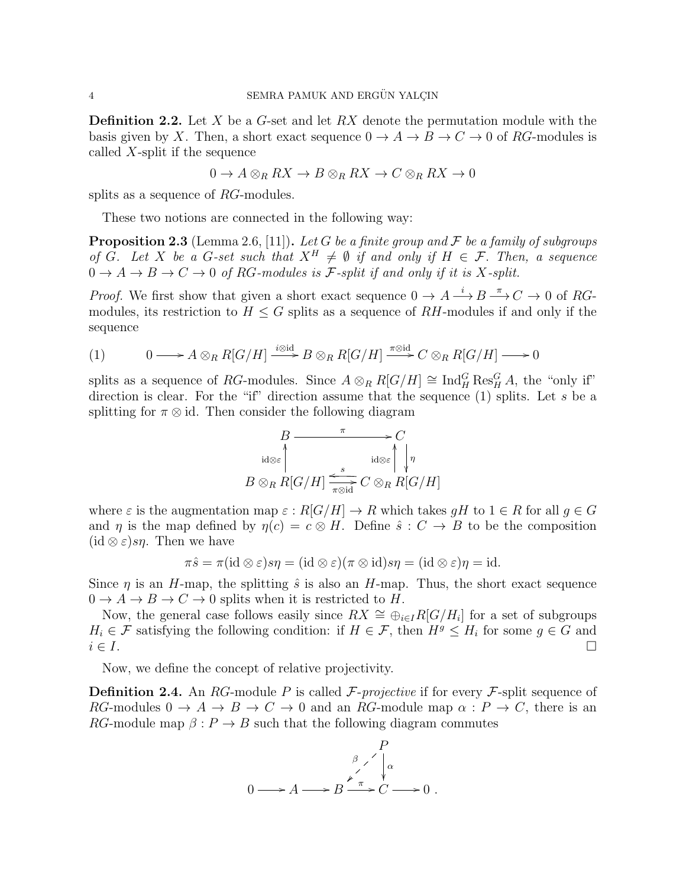**Definition 2.2.** Let X be a G-set and let  $RX$  denote the permutation module with the basis given by X. Then, a short exact sequence  $0 \to A \to B \to C \to 0$  of RG-modules is called X-split if the sequence

$$
0 \to A \otimes_R RX \to B \otimes_R RX \to C \otimes_R RX \to 0
$$

splits as a sequence of RG-modules.

These two notions are connected in the following way:

**Proposition 2.3** (Lemma 2.6, [11]). Let G be a finite group and F be a family of subgroups of G. Let X be a G-set such that  $X^H \neq \emptyset$  if and only if  $H \in \mathcal{F}$ . Then, a sequence  $0 \to A \to B \to C \to 0$  of RG-modules is F-split if and only if it is X-split.

*Proof.* We first show that given a short exact sequence  $0 \to A \stackrel{i}{\longrightarrow} B \stackrel{\pi}{\longrightarrow} C \to 0$  of RGmodules, its restriction to  $H \leq G$  splits as a sequence of RH-modules if and only if the sequence

(1) 
$$
0 \longrightarrow A \otimes_R R[G/H] \xrightarrow{i \otimes id} B \otimes_R R[G/H] \xrightarrow{\pi \otimes id} C \otimes_R R[G/H] \longrightarrow 0
$$

splits as a sequence of RG-modules. Since  $A \otimes_R R[G/H] \cong \text{Ind}_{H}^{G} \text{Res}_{H}^{G} A$ , the "only if" direction is clear. For the "if" direction assume that the sequence  $(1)$  splits. Let s be a splitting for  $\pi \otimes id$ . Then consider the following diagram

$$
B \xrightarrow{\pi} C
$$
  
\n
$$
\downarrow id \otimes \varepsilon \qquad \qquad id \otimes \varepsilon \qquad \qquad id \otimes \varepsilon \qquad \qquad \downarrow \eta
$$
  
\n
$$
B \otimes_R R[G/H] \xrightarrow{\epsilon} S
$$
  
\n
$$
C \otimes_R R[G/H]
$$

where  $\varepsilon$  is the augmentation map  $\varepsilon : R[G/H] \to R$  which takes  $qH$  to  $1 \in R$  for all  $q \in G$ and  $\eta$  is the map defined by  $\eta(c) = c \otimes H$ . Define  $\hat{s}: C \to B$  to be the composition  $(id \otimes \varepsilon) s\eta$ . Then we have

$$
\pi \hat{s} = \pi (\mathrm{id} \otimes \varepsilon) s\eta = (\mathrm{id} \otimes \varepsilon)(\pi \otimes \mathrm{id})s\eta = (\mathrm{id} \otimes \varepsilon)\eta = \mathrm{id}.
$$

Since  $\eta$  is an H-map, the splitting  $\hat{s}$  is also an H-map. Thus, the short exact sequence  $0 \to A \to B \to C \to 0$  splits when it is restricted to H.

Now, the general case follows easily since  $RX \cong \bigoplus_{i \in I} R[G/H_i]$  for a set of subgroups  $H_i \in \mathcal{F}$  satisfying the following condition: if  $H \in \mathcal{F}$ , then  $H^g \leq H_i$  for some  $g \in G$  and  $i \in I$ .

Now, we define the concept of relative projectivity.

**Definition 2.4.** An RG-module P is called  $\mathcal{F}\text{-projective if for every } \mathcal{F}\text{-split sequence of }$ RG-modules  $0 \to A \to B \to C \to 0$  and an RG-module map  $\alpha : P \to C$ , there is an RG-module map  $\beta$ :  $P \to B$  such that the following diagram commutes

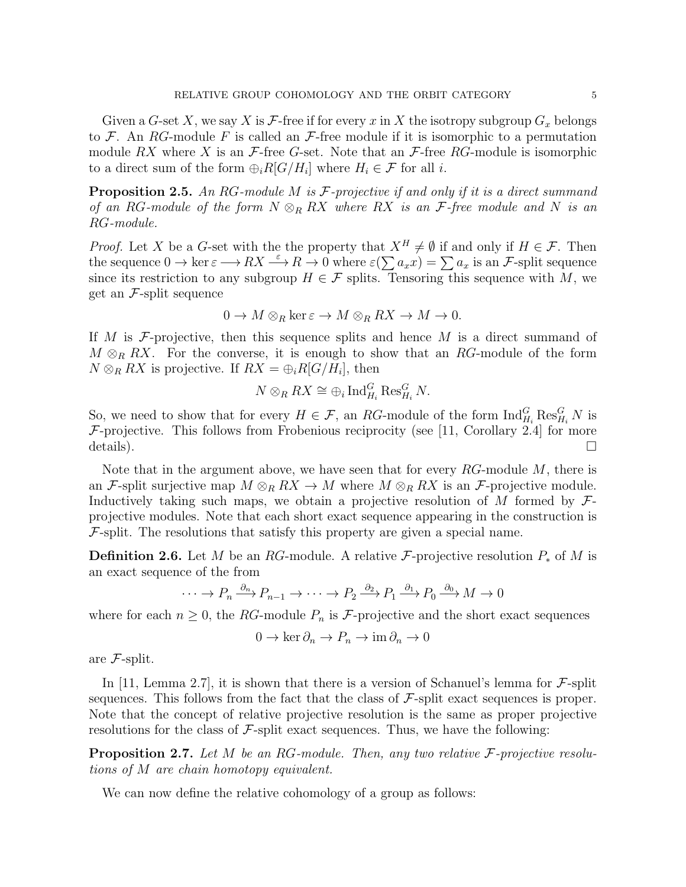Given a G-set X, we say X is F-free if for every x in X the isotropy subgroup  $G_x$  belongs to F. An RG-module F is called an  $\mathcal{F}$ -free module if it is isomorphic to a permutation module RX where X is an  $\mathcal{F}\text{-free }G\text{-set}$ . Note that an  $\mathcal{F}\text{-free }RG\text{-module}$  is isomorphic to a direct sum of the form  $\bigoplus_i R[G/H_i]$  where  $H_i \in \mathcal{F}$  for all i.

**Proposition 2.5.** An RG-module M is F-projective if and only if it is a direct summand of an RG-module of the form  $N \otimes_R R X$  where RX is an F-free module and N is an RG-module.

*Proof.* Let X be a G-set with the the property that  $X^H \neq \emptyset$  if and only if  $H \in \mathcal{F}$ . Then the sequence  $0 \to \ker \varepsilon \longrightarrow RX \stackrel{\varepsilon}{\longrightarrow} R \stackrel{\cdot}{\longrightarrow} 0$  where  $\varepsilon(\sum a_x x) = \sum a_x$  is an F-split sequence since its restriction to any subgroup  $H \in \mathcal{F}$  splits. Tensoring this sequence with M, we get an  $\mathcal{F}$ -split sequence

$$
0 \to M \otimes_R \ker \varepsilon \to M \otimes_R RX \to M \to 0.
$$

If M is  $\mathcal F$ -projective, then this sequence splits and hence M is a direct summand of  $M \otimes_R RX$ . For the converse, it is enough to show that an RG-module of the form  $N \otimes_R RX$  is projective. If  $RX = \bigoplus_i R[G/H_i]$ , then

$$
N \otimes_R RX \cong \oplus_i \operatorname{Ind}_{H_i}^G \operatorname{Res}_{H_i}^G N.
$$

So, we need to show that for every  $H \in \mathcal{F}$ , an RG-module of the form  $\text{Ind}_{H_i}^G \text{Res}_{H_i}^G N$  is  $\mathcal{F}$ -projective. This follows from Frobenious reciprocity (see [11, Corollary 2.4] for more details).

Note that in the argument above, we have seen that for every  $RG$ -module  $M$ , there is an F-split surjective map  $M \otimes_R RX \to M$  where  $M \otimes_R RX$  is an F-projective module. Inductively taking such maps, we obtain a projective resolution of M formed by  $\mathcal{F}$ projective modules. Note that each short exact sequence appearing in the construction is  $\mathcal{F}$ -split. The resolutions that satisfy this property are given a special name.

**Definition 2.6.** Let M be an RG-module. A relative F-projective resolution  $P_*$  of M is an exact sequence of the from

$$
\cdots \to P_n \xrightarrow{\partial_n} P_{n-1} \to \cdots \to P_2 \xrightarrow{\partial_2} P_1 \xrightarrow{\partial_1} P_0 \xrightarrow{\partial_0} M \to 0
$$

where for each  $n \geq 0$ , the RG-module  $P_n$  is F-projective and the short exact sequences

$$
0 \to \ker \partial_n \to P_n \to \mathrm{im}\, \partial_n \to 0
$$

are F-split.

In [11, Lemma 2.7], it is shown that there is a version of Schanuel's lemma for  $\mathcal{F}$ -split sequences. This follows from the fact that the class of  $\mathcal{F}\text{-}split$  exact sequences is proper. Note that the concept of relative projective resolution is the same as proper projective resolutions for the class of  $\mathcal{F}\text{-split}$  exact sequences. Thus, we have the following:

**Proposition 2.7.** Let M be an RG-module. Then, any two relative  $\mathcal{F}\text{-projective resolution}$ tions of M are chain homotopy equivalent.

We can now define the relative cohomology of a group as follows: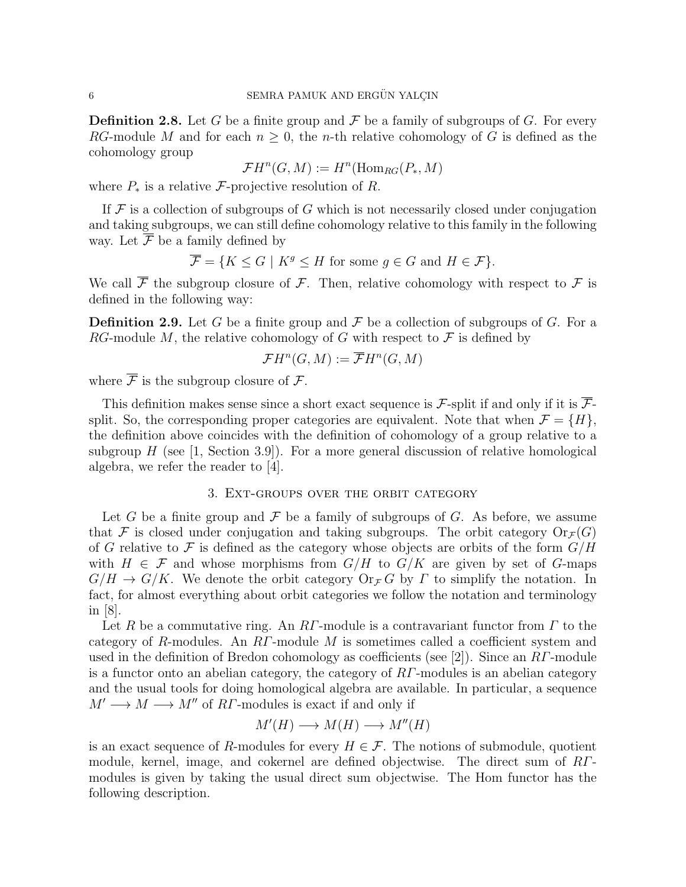**Definition 2.8.** Let G be a finite group and F be a family of subgroups of G. For every RG-module M and for each  $n \geq 0$ , the n-th relative cohomology of G is defined as the cohomology group

$$
\mathcal{F}H^n(G,M) := H^n(\operatorname{Hom}_{RG}(P_*,M)
$$

where  $P_*$  is a relative F-projective resolution of R.

If  $\mathcal F$  is a collection of subgroups of G which is not necessarily closed under conjugation and taking subgroups, we can still define cohomology relative to this family in the following way. Let  $\overline{\mathcal{F}}$  be a family defined by

$$
\overline{\mathcal{F}} = \{ K \le G \mid K^g \le H \text{ for some } g \in G \text{ and } H \in \mathcal{F} \}.
$$

We call  $\overline{\mathcal{F}}$  the subgroup closure of  $\mathcal{F}$ . Then, relative cohomology with respect to  $\mathcal{F}$  is defined in the following way:

**Definition 2.9.** Let G be a finite group and F be a collection of subgroups of G. For a RG-module M, the relative cohomology of G with respect to  $\mathcal F$  is defined by

$$
\mathcal{F}H^n(G,M):=\overline{\mathcal{F}}H^n(G,M)
$$

where  $\overline{\mathcal{F}}$  is the subgroup closure of  $\mathcal{F}$ .

This definition makes sense since a short exact sequence is F-split if and only if it is  $\overline{\mathcal{F}}$ split. So, the corresponding proper categories are equivalent. Note that when  $\mathcal{F} = \{H\}$ , the definition above coincides with the definition of cohomology of a group relative to a subgroup  $H$  (see [1, Section 3.9]). For a more general discussion of relative homological algebra, we refer the reader to [4].

## 3. Ext-groups over the orbit category

Let G be a finite group and  $\mathcal F$  be a family of subgroups of G. As before, we assume that F is closed under conjugation and taking subgroups. The orbit category  $O(r_f(G))$ of G relative to F is defined as the category whose objects are orbits of the form  $G/H$ with  $H \in \mathcal{F}$  and whose morphisms from  $G/H$  to  $G/K$  are given by set of G-maps  $G/H \to G/K$ . We denote the orbit category  $\text{Or}_{\mathcal{F}} G$  by  $\Gamma$  to simplify the notation. In fact, for almost everything about orbit categories we follow the notation and terminology in [8].

Let R be a commutative ring. An RΓ-module is a contravariant functor from  $\Gamma$  to the category of R-modules. An  $RT$ -module M is sometimes called a coefficient system and used in the definition of Bredon cohomology as coefficients (see [2]). Since an  $RT$ -module is a functor onto an abelian category, the category of RΓ-modules is an abelian category and the usual tools for doing homological algebra are available. In particular, a sequence  $M' \longrightarrow M \longrightarrow M''$  of RF-modules is exact if and only if

$$
M'(H) \longrightarrow M(H) \longrightarrow M''(H)
$$

is an exact sequence of R-modules for every  $H \in \mathcal{F}$ . The notions of submodule, quotient module, kernel, image, and cokernel are defined objectwise. The direct sum of RΓmodules is given by taking the usual direct sum objectwise. The Hom functor has the following description.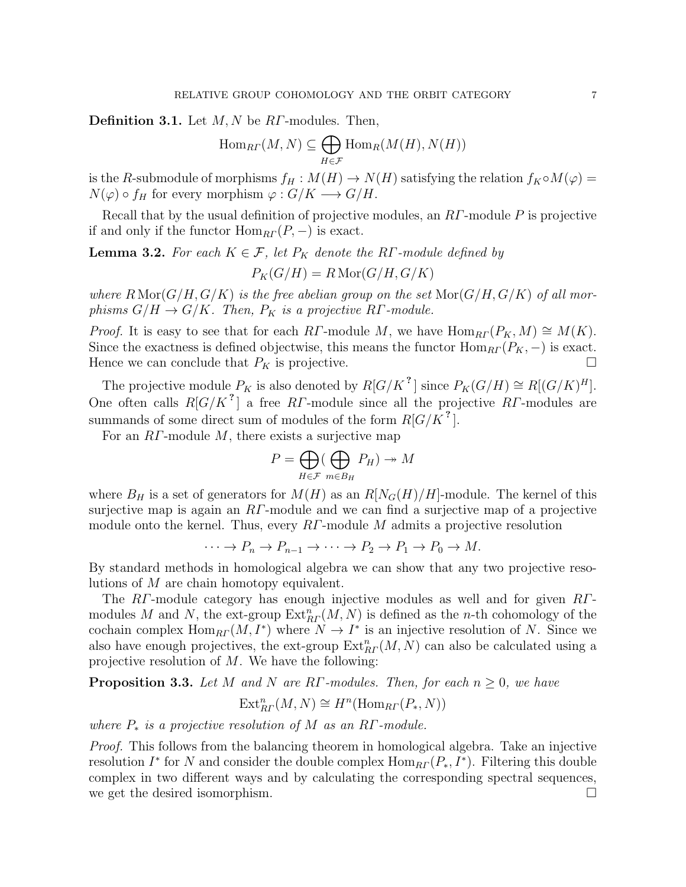**Definition 3.1.** Let  $M, N$  be  $R\Gamma$ -modules. Then,

$$
\operatorname{Hom}_{\mathbb{R}\Gamma}(M,N) \subseteq \bigoplus_{H \in \mathcal{F}} \operatorname{Hom}_{\mathbb{R}}(M(H), N(H))
$$

is the R-submodule of morphisms  $f_H : M(H) \to N(H)$  satisfying the relation  $f_K \circ M(\varphi) =$  $N(\varphi) \circ f_H$  for every morphism  $\varphi : G/K \longrightarrow G/H$ .

Recall that by the usual definition of projective modules, an RΓ-module P is projective if and only if the functor  $\text{Hom}_{RT}(P, -)$  is exact.

**Lemma 3.2.** For each  $K \in \mathcal{F}$ , let  $P_K$  denote the RΓ-module defined by

$$
P_K(G/H) = R \operatorname{Mor}(G/H, G/K)
$$

where  $R\operatorname{Mor}(G/H, G/K)$  is the free abelian group on the set  $\operatorname{Mor}(G/H, G/K)$  of all morphisms  $G/H \to G/K$ . Then,  $P_K$  is a projective RΓ-module.

*Proof.* It is easy to see that for each RΓ-module M, we have  $\text{Hom}_{RT}(P_K, M) \cong M(K)$ . Since the exactness is defined objectwise, this means the functor  $\text{Hom}_{RT}(P_K, -)$  is exact. Hence we can conclude that  $P_K$  is projective.

The projective module  $P_K$  is also denoted by  $R[G/K^2]$  since  $P_K(G/H) \cong R[(G/K)^H]$ . One often calls  $R[G/K^2]$  a free RΓ-module since all the projective RΓ-modules are summands of some direct sum of modules of the form  $R[G/K^2]$ .

For an  $RT$ -module M, there exists a surjective map

$$
P = \bigoplus_{H \in \mathcal{F}} (\bigoplus_{m \in B_H} P_H) \to M
$$

where  $B_H$  is a set of generators for  $M(H)$  as an  $R[N_G(H)/H]$ -module. The kernel of this surjective map is again an RΓ-module and we can find a surjective map of a projective module onto the kernel. Thus, every  $\overline{RI}$ -module M admits a projective resolution

$$
\cdots \to P_n \to P_{n-1} \to \cdots \to P_2 \to P_1 \to P_0 \to M.
$$

By standard methods in homological algebra we can show that any two projective resolutions of M are chain homotopy equivalent.

The RΓ-module category has enough injective modules as well and for given RΓmodules M and N, the ext-group  $\text{Ext}_{R\Gamma}^n(M,N)$  is defined as the n-th cohomology of the cochain complex  $\text{Hom}_{R\Gamma}(M, I^*)$  where  $N \to I^*$  is an injective resolution of N. Since we also have enough projectives, the ext-group  $\text{Ext}_{R\Gamma}^{n}(M, N)$  can also be calculated using a projective resolution of M. We have the following:

**Proposition 3.3.** Let M and N are RΓ-modules. Then, for each  $n \geq 0$ , we have

$$
\text{Ext}^n_{\text{R}^r}(M, N) \cong H^n(\text{Hom}_{\text{R}^r}(P_*, N))
$$

where  $P_*$  is a projective resolution of M as an RΓ-module.

*Proof.* This follows from the balancing theorem in homological algebra. Take an injective resolution  $I^*$  for N and consider the double complex  $\text{Hom}_{RT}(P_*, I^*)$ . Filtering this double complex in two different ways and by calculating the corresponding spectral sequences, we get the desired isomorphism.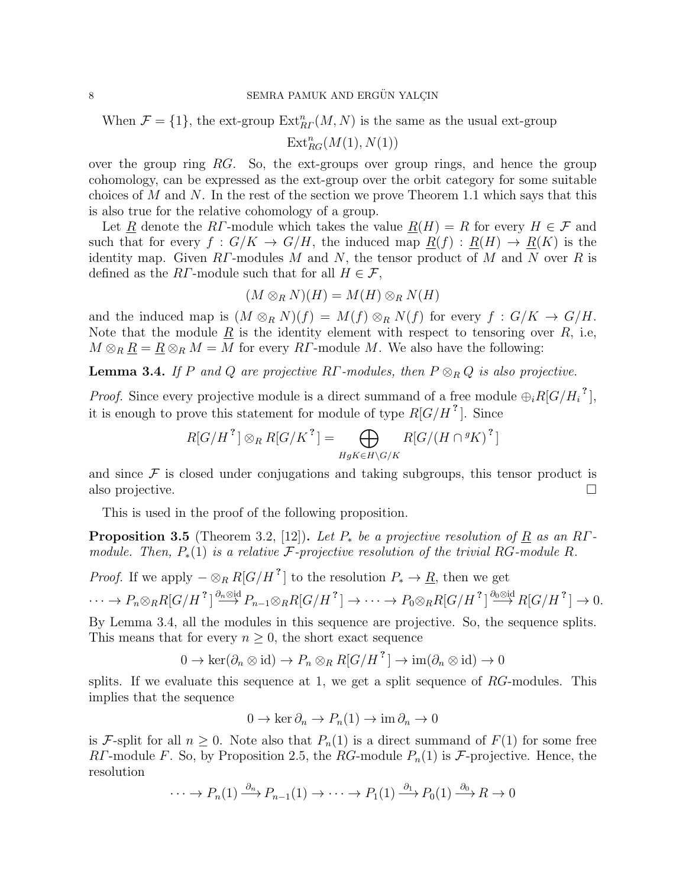When  $\mathcal{F} = \{1\}$ , the ext-group  $\text{Ext}_{RF}^{n}(M, N)$  is the same as the usual ext-group

 $\text{Ext}_{RG}^{n}(M(1), N(1))$ 

over the group ring  $RG$ . So, the ext-groups over group rings, and hence the group cohomology, can be expressed as the ext-group over the orbit category for some suitable choices of M and N. In the rest of the section we prove Theorem 1.1 which says that this is also true for the relative cohomology of a group.

Let R denote the RΓ-module which takes the value  $R(H) = R$  for every  $H \in \mathcal{F}$  and such that for every  $f: G/K \to G/H$ , the induced map  $\underline{R}(f): \underline{R}(H) \to \underline{R}(K)$  is the identity map. Given  $RT$ -modules M and N, the tensor product of M and N over R is defined as the RΓ-module such that for all  $H \in \mathcal{F}$ ,

$$
(M\otimes_R N)(H)=M(H)\otimes_R N(H)
$$

and the induced map is  $(M \otimes_R N)(f) = M(f) \otimes_R N(f)$  for every  $f : G/K \to G/H$ . Note that the module  $\underline{R}$  is the identity element with respect to tensoring over  $R$ , i.e,  $M \otimes_R \underline{R} = \underline{R} \otimes_R M = M$  for every  $R\Gamma$ -module M. We also have the following:

**Lemma 3.4.** If P and Q are projective RΓ-modules, then  $P \otimes_R Q$  is also projective.

*Proof.* Since every projective module is a direct summand of a free module  $\bigoplus_i R[G/H_i]^2$ , it is enough to prove this statement for module of type  $R[G/H^2]$ . Since

$$
R[G/H^? \rbrack \otimes_R R[G/K^?] = \bigoplus_{HgK \in H\backslash G/K} R[G/(H \cap {}^gK)^? \rbrack
$$

and since  $\mathcal F$  is closed under conjugations and taking subgroups, this tensor product is also projective.

This is used in the proof of the following proposition.

**Proposition 3.5** (Theorem 3.2, [12]). Let  $P_*$  be a projective resolution of  $R$  as an RΓmodule. Then,  $P_*(1)$  is a relative  $\mathcal F$ -projective resolution of the trivial RG-module R.

*Proof.* If we apply 
$$
-\otimes_R R[G/H^2]
$$
 to the resolution  $P_* \to \underline{R}$ , then we get  
\n $\cdots \to P_n \otimes_R R[G/H^2] \xrightarrow{\partial_n \otimes \text{id}} P_{n-1} \otimes_R R[G/H^2] \to \cdots \to P_0 \otimes_R R[G/H^2] \xrightarrow{\partial_0 \otimes \text{id}} R[G/H^2] \to 0.$ 

By Lemma 3.4, all the modules in this sequence are projective. So, the sequence splits. This means that for every  $n \geq 0$ , the short exact sequence

$$
0 \to \ker(\partial_n \otimes id) \to P_n \otimes_R R[G/H^2] \to \operatorname{im}(\partial_n \otimes id) \to 0
$$

splits. If we evaluate this sequence at 1, we get a split sequence of  $RG$ -modules. This implies that the sequence

$$
0 \to \ker \partial_n \to P_n(1) \to \mathrm{im}\, \partial_n \to 0
$$

is F-split for all  $n \geq 0$ . Note also that  $P_n(1)$  is a direct summand of  $F(1)$  for some free RΓ-module F. So, by Proposition 2.5, the RG-module  $P_n(1)$  is F-projective. Hence, the resolution

$$
\cdots \to P_n(1) \xrightarrow{\partial_n} P_{n-1}(1) \to \cdots \to P_1(1) \xrightarrow{\partial_1} P_0(1) \xrightarrow{\partial_0} R \to 0
$$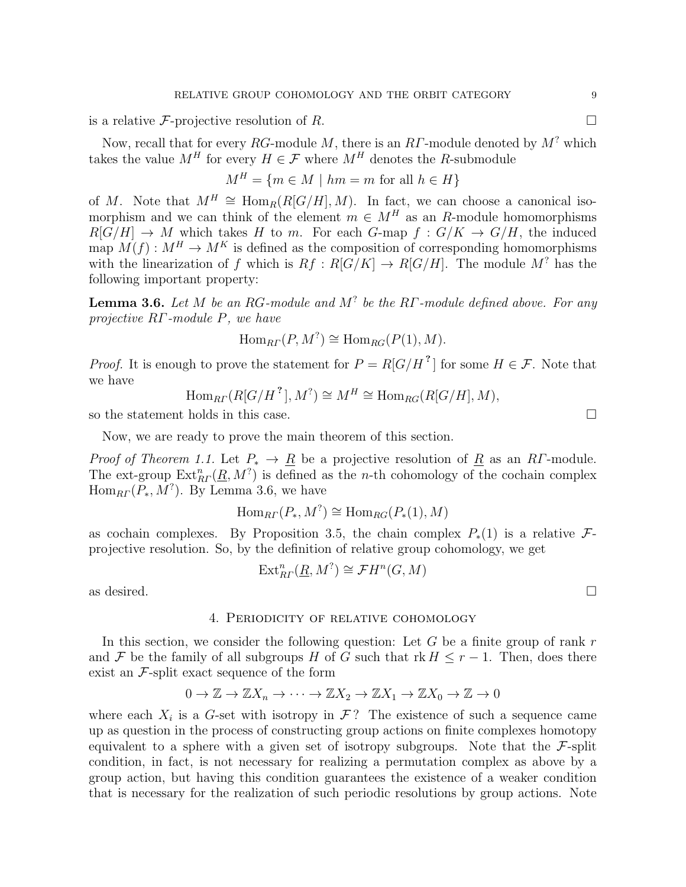is a relative F-projective resolution of R.

Now, recall that for every RG-module M, there is an RT-module denoted by  $M^?$  which takes the value  $M^H$  for every  $H \in \mathcal{F}$  where  $M^H$  denotes the R-submodule

$$
M^H = \{ m \in M \mid hm = m \text{ for all } h \in H \}
$$

of M. Note that  $M^H \cong \text{Hom}_R(R[G/H], M)$ . In fact, we can choose a canonical isomorphism and we can think of the element  $m \in M^H$  as an R-module homomorphisms  $R[G/H] \to M$  which takes H to m. For each G-map  $f: G/K \to G/H$ , the induced map  $M(f) : M^H \to M^K$  is defined as the composition of corresponding homomorphisms with the linearization of f which is  $Rf: R[G/K] \to R[G/H]$ . The module  $M^?$  has the following important property:

**Lemma 3.6.** Let M be an RG-module and M<sup>?</sup> be the RΓ-module defined above. For any projective RΓ-module P, we have

$$
\operatorname{Hom}_{\text{R} \Gamma}(P, M^?) \cong \operatorname{Hom}_{\text{R} \text{G}}(P(1), M).
$$

*Proof.* It is enough to prove the statement for  $P = R[G/H^2]$  for some  $H \in \mathcal{F}$ . Note that we have

$$
\operatorname{Hom}_{\mathbb{R}\Gamma}(\mathbb{R}[G/H^2], M^?) \cong M^H \cong \operatorname{Hom}_{\mathbb{R}\mathbb{G}}(\mathbb{R}[G/H], M),
$$

so the statement holds in this case.

Now, we are ready to prove the main theorem of this section.

*Proof of Theorem 1.1.* Let  $P_* \to \underline{R}$  be a projective resolution of  $\underline{R}$  as an R*Γ*-module. The ext-group  $\text{Ext}_{R}^n(\underline{R},M^?)$  is defined as the *n*-th cohomology of the cochain complex  $\text{Hom}_{RF}(P_*,M^?)$ . By Lemma 3.6, we have

$$
\operatorname{Hom}_{RT}(P_*, M^?) \cong \operatorname{Hom}_{RG}(P_*(1), M)
$$

as cochain complexes. By Proposition 3.5, the chain complex  $P_*(1)$  is a relative  $\mathcal{F}_*$ projective resolution. So, by the definition of relative group cohomology, we get

$$
\operatorname{Ext}_{R\varGamma}^{n}(\underline{R},M^{?})\cong\mathcal{F}H^{n}(G,M)
$$

as desired.  $\Box$ 

## 4. Periodicity of relative cohomology

In this section, we consider the following question: Let  $G$  be a finite group of rank  $r$ and F be the family of all subgroups H of G such that  $rk H \leq r-1$ . Then, does there exist an  $\mathcal{F}$ -split exact sequence of the form

$$
0 \to \mathbb{Z} \to \mathbb{Z}X_n \to \cdots \to \mathbb{Z}X_2 \to \mathbb{Z}X_1 \to \mathbb{Z}X_0 \to \mathbb{Z} \to 0
$$

where each  $X_i$  is a G-set with isotropy in  $\mathcal{F}$ ? The existence of such a sequence came up as question in the process of constructing group actions on finite complexes homotopy equivalent to a sphere with a given set of isotropy subgroups. Note that the  $\mathcal{F}$ -split condition, in fact, is not necessary for realizing a permutation complex as above by a group action, but having this condition guarantees the existence of a weaker condition that is necessary for the realization of such periodic resolutions by group actions. Note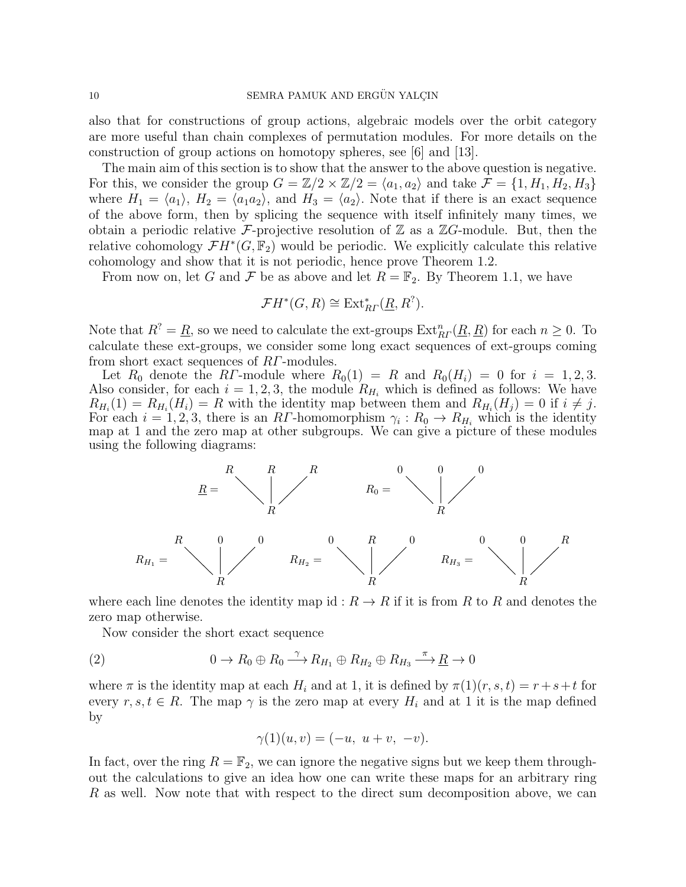also that for constructions of group actions, algebraic models over the orbit category are more useful than chain complexes of permutation modules. For more details on the construction of group actions on homotopy spheres, see [6] and [13].

The main aim of this section is to show that the answer to the above question is negative. For this, we consider the group  $G = \mathbb{Z}/2 \times \mathbb{Z}/2 = \langle a_1, a_2 \rangle$  and take  $\mathcal{F} = \{1, H_1, H_2, H_3\}$ where  $H_1 = \langle a_1 \rangle$ ,  $H_2 = \langle a_1 a_2 \rangle$ , and  $H_3 = \langle a_2 \rangle$ . Note that if there is an exact sequence of the above form, then by splicing the sequence with itself infinitely many times, we obtain a periodic relative F-projective resolution of  $\mathbb Z$  as a  $\mathbb Z$ G-module. But, then the relative cohomology  $\mathcal{F}H^*(G,\mathbb{F}_2)$  would be periodic. We explicitly calculate this relative cohomology and show that it is not periodic, hence prove Theorem 1.2.

From now on, let G and F be as above and let  $R = \mathbb{F}_2$ . By Theorem 1.1, we have

$$
\mathcal{F}H^*(G,R) \cong \text{Ext}_{R\Gamma}^*(\underline{R},R^?).
$$

Note that  $R^? = \underline{R}$ , so we need to calculate the ext-groups  $\text{Ext}_{RT}^n(\underline{R}, \underline{R})$  for each  $n \geq 0$ . To calculate these ext-groups, we consider some long exact sequences of ext-groups coming from short exact sequences of RΓ-modules.

Let  $R_0$  denote the RΓ-module where  $R_0(1) = R$  and  $R_0(H_i) = 0$  for  $i = 1, 2, 3$ . Also consider, for each  $i = 1, 2, 3$ , the module  $R_{H_i}$  which is defined as follows: We have  $R_{H_i}(1) = R_{H_i}(H_i) = R$  with the identity map between them and  $R_{H_i}(H_j) = 0$  if  $i \neq j$ . For each  $i = 1, 2, 3$ , there is an RT-homomorphism  $\gamma_i : R_0 \to R_{H_i}$  which is the identity map at 1 and the zero map at other subgroups. We can give a picture of these modules using the following diagrams:



where each line denotes the identity map id :  $R \to R$  if it is from R to R and denotes the zero map otherwise.

Now consider the short exact sequence

(2) 
$$
0 \to R_0 \oplus R_0 \xrightarrow{\gamma} R_{H_1} \oplus R_{H_2} \oplus R_{H_3} \xrightarrow{\pi} \underline{R} \to 0
$$

where  $\pi$  is the identity map at each  $H_i$  and at 1, it is defined by  $\pi(1)(r, s, t) = r + s + t$  for every  $r, s, t \in R$ . The map  $\gamma$  is the zero map at every  $H_i$  and at 1 it is the map defined by

$$
\gamma(1)(u, v) = (-u, u + v, -v).
$$

In fact, over the ring  $R = \mathbb{F}_2$ , we can ignore the negative signs but we keep them throughout the calculations to give an idea how one can write these maps for an arbitrary ring R as well. Now note that with respect to the direct sum decomposition above, we can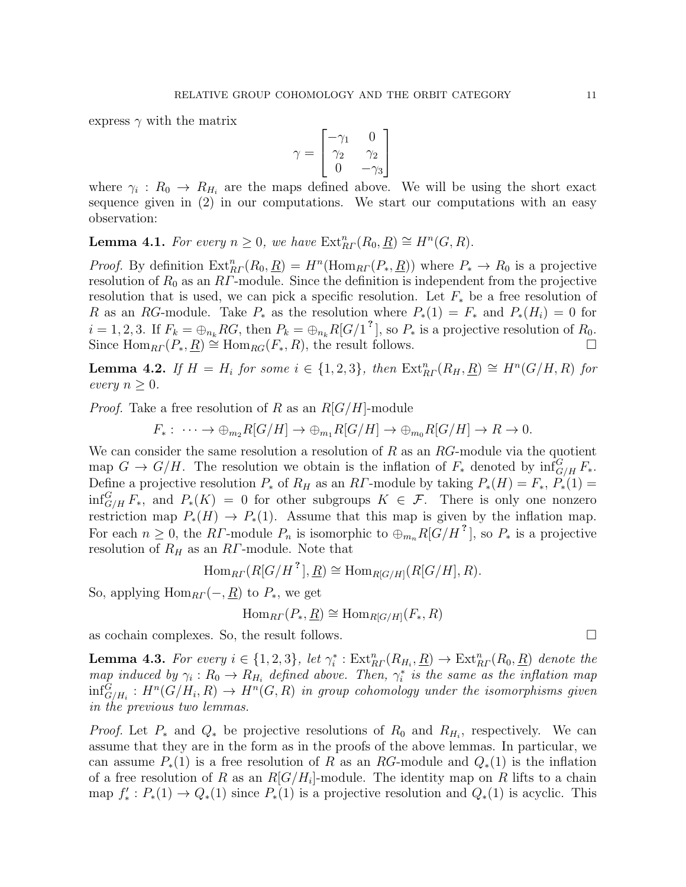express  $\gamma$  with the matrix

$$
\gamma = \begin{bmatrix} -\gamma_1 & 0 \\ \gamma_2 & \gamma_2 \\ 0 & -\gamma_3 \end{bmatrix}
$$

where  $\gamma_i: R_0 \to R_{H_i}$  are the maps defined above. We will be using the short exact sequence given in (2) in our computations. We start our computations with an easy observation:

**Lemma 4.1.** For every  $n \geq 0$ , we have  $\text{Ext}_{RF}^{n}(R_0, \underline{R}) \cong H^{n}(G, R)$ .

*Proof.* By definition  $\text{Ext}_{RT}^n(R_0, \underline{R}) = H^n(\text{Hom}_{RT}(P_*, \underline{R}))$  where  $P_* \to R_0$  is a projective resolution of  $R_0$  as an  $RT$ -module. Since the definition is independent from the projective resolution that is used, we can pick a specific resolution. Let  $F_*$  be a free resolution of R as an RG-module. Take  $P_*$  as the resolution where  $P_*(1) = F_*$  and  $P_*(H_i) = 0$  for  $i = 1, 2, 3$ . If  $F_k = \bigoplus_{n_k} RG$ , then  $P_k = \bigoplus_{n_k} R[G/1]^2$ , so  $P_*$  is a projective resolution of  $R_0$ . Since  $\text{Hom}_{RF}(P_*,R) \cong \text{Hom}_{RG}(F_*,R)$ , the result follows.

**Lemma 4.2.** If  $H = H_i$  for some  $i \in \{1, 2, 3\}$ , then  $\text{Ext}_{RF}^n(R_H, \underline{R}) \cong H^n(G/H, R)$  for every  $n \geq 0$ .

*Proof.* Take a free resolution of R as an  $R[G/H]$ -module

$$
F_*: \cdots \to \oplus_{m_2} R[G/H] \to \oplus_{m_1} R[G/H] \to \oplus_{m_0} R[G/H] \to R \to 0.
$$

We can consider the same resolution a resolution of  $R$  as an  $RG$ -module via the quotient map  $G \to G/H$ . The resolution we obtain is the inflation of  $F_*$  denoted by  $\inf_{G/H}^G F_*$ . Define a projective resolution  $P_*$  of  $R_H$  as an RF-module by taking  $P_*(H) = F_*$ ,  $P_*(1) =$  $\inf_{G/H}^G F_*$ , and  $P_*(K) = 0$  for other subgroups  $K \in \mathcal{F}$ . There is only one nonzero restriction map  $P_*(H) \to P_*(1)$ . Assume that this map is given by the inflation map. For each  $n \geq 0$ , the RF-module  $P_n$  is isomorphic to  $\bigoplus_{m_n} R[G/H^2]$ , so  $P_*$  is a projective resolution of  $R_H$  as an RΓ-module. Note that

$$
\operatorname{Hom}_{RF}(R[G/H^?], \underline{R}) \cong \operatorname{Hom}_{R[G/H]}(R[G/H], R).
$$

So, applying  $\text{Hom}_{RF}(-, \underline{R})$  to  $P_*$ , we get

$$
\operatorname{Hom}_{\text{R}\Gamma}(P_*,\underline{R}) \cong \operatorname{Hom}_{\text{R}[G/H]}(F_*,R)
$$

as cochain complexes. So, the result follows.

**Lemma 4.3.** For every  $i \in \{1,2,3\}$ , let  $\gamma_i^* : Ext_{RF}^n(R_{H_i}, \underline{R}) \to Ext_{RF}^n(R_0, \underline{R})$  denote the map induced by  $\gamma_i: R_0 \to R_{H_i}$  defined above. Then,  $\gamma_i^*$  is the same as the inflation map  $\inf_{G/H_i}^G : H^n(G/H_i,R) \to H^n(G,R)$  in group cohomology under the isomorphisms given in the previous two lemmas.

*Proof.* Let  $P_*$  and  $Q_*$  be projective resolutions of  $R_0$  and  $R_{H_i}$ , respectively. We can assume that they are in the form as in the proofs of the above lemmas. In particular, we can assume  $P_*(1)$  is a free resolution of R as an RG-module and  $Q_*(1)$  is the inflation of a free resolution of R as an  $R[G/H_i]$ -module. The identity map on R lifts to a chain map  $f'_*: P_*(1) \to Q_*(1)$  since  $P_*(1)$  is a projective resolution and  $Q_*(1)$  is acyclic. This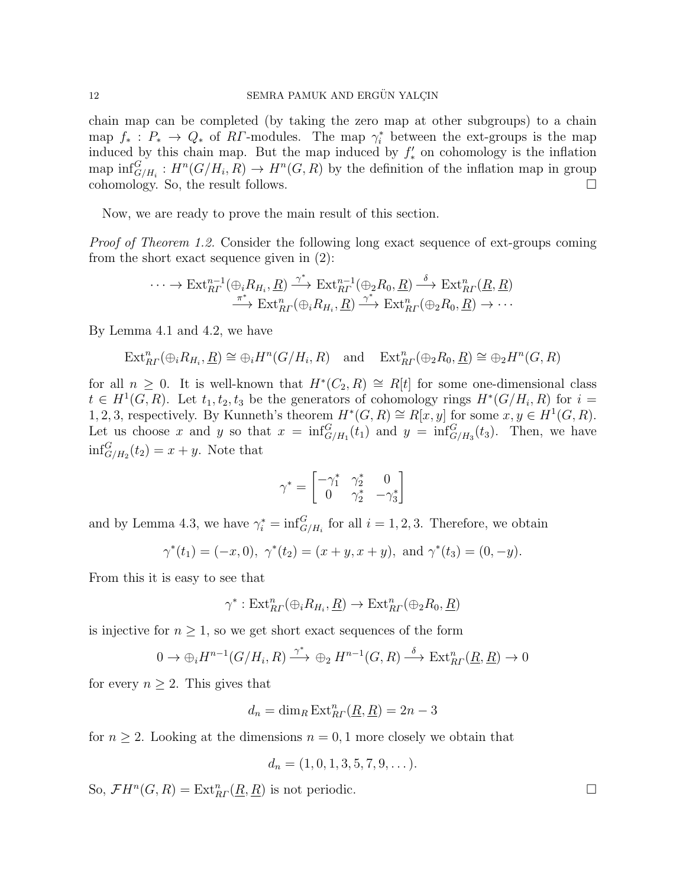chain map can be completed (by taking the zero map at other subgroups) to a chain map  $f_*: P_* \to Q_*$  of RT-modules. The map  $\gamma_i^*$  between the ext-groups is the map induced by this chain map. But the map induced by  $f'_{*}$  on cohomology is the inflation map  $\inf_{G/H_i}^G: H^n(G/H_i, R) \to H^n(G, R)$  by the definition of the inflation map in group cohomology. So, the result follows.

Now, we are ready to prove the main result of this section.

Proof of Theorem 1.2. Consider the following long exact sequence of ext-groups coming from the short exact sequence given in (2):

$$
\cdots \to \mathrm{Ext}^{n-1}_{R\Gamma}(\bigoplus_i R_{H_i}, \underline{R}) \xrightarrow{\gamma^*} \mathrm{Ext}^{n-1}_{R\Gamma}(\bigoplus_2 R_0, \underline{R}) \xrightarrow{\delta} \mathrm{Ext}^n_{R\Gamma}(\underline{R}, \underline{R})
$$

$$
\xrightarrow{\pi^*} \mathrm{Ext}^n_{R\Gamma}(\bigoplus_i R_{H_i}, \underline{R}) \xrightarrow{\gamma^*} \mathrm{Ext}^n_{R\Gamma}(\bigoplus_2 R_0, \underline{R}) \to \cdots
$$

By Lemma 4.1 and 4.2, we have

$$
\text{Ext}^n_{\text{R}^r}(\oplus_i R_{H_i}, \underline{R}) \cong \oplus_i H^n(G/H_i, R) \quad \text{and} \quad \text{Ext}^n_{\text{R}^r}(\oplus_2 R_0, \underline{R}) \cong \oplus_2 H^n(G, R)
$$

for all  $n \geq 0$ . It is well-known that  $H^*(C_2, R) \cong R[t]$  for some one-dimensional class  $t \in H^1(G, R)$ . Let  $t_1, t_2, t_3$  be the generators of cohomology rings  $H^*(G/H_i, R)$  for  $i =$ 1, 2, 3, respectively. By Kunneth's theorem  $H^*(G, R) \cong R[x, y]$  for some  $x, y \in H^1(G, R)$ . Let us choose x and y so that  $x = \inf_{G/H_1}^G(t_1)$  and  $y = \inf_{G/H_3}^G(t_3)$ . Then, we have  $\inf_{G/H_2}^G(t_2) = x + y$ . Note that

$$
\gamma^* = \begin{bmatrix} -\gamma_1^* & \gamma_2^* & 0\\ 0 & \gamma_2^* & -\gamma_3^* \end{bmatrix}
$$

and by Lemma 4.3, we have  $\gamma_i^* = \inf_{G/H_i}^G$  for all  $i = 1, 2, 3$ . Therefore, we obtain

$$
\gamma^*(t_1) = (-x, 0), \ \gamma^*(t_2) = (x + y, x + y), \text{ and } \gamma^*(t_3) = (0, -y).
$$

From this it is easy to see that

$$
\gamma^* : \mathrm{Ext}^n_{R}(\oplus_i R_{H_i}, \underline{R}) \to \mathrm{Ext}^n_{R}(\oplus_2 R_0, \underline{R})
$$

is injective for  $n \geq 1$ , so we get short exact sequences of the form

$$
0 \to \bigoplus_i H^{n-1}(G/H_i, R) \xrightarrow{\gamma^*} \bigoplus_i H^{n-1}(G, R) \xrightarrow{\delta} \operatorname{Ext}^n_{R}(\underline{R}, \underline{R}) \to 0
$$

for every  $n \geq 2$ . This gives that

$$
d_n = \dim_R \operatorname{Ext}_{R\Gamma}^n(\underline{R}, \underline{R}) = 2n - 3
$$

for  $n \geq 2$ . Looking at the dimensions  $n = 0, 1$  more closely we obtain that

$$
d_n = (1, 0, 1, 3, 5, 7, 9, \dots).
$$

So,  $\mathcal{F}H^n(G,R) = \text{Ext}^n_{R}(\underline{R},\underline{R})$  is not periodic.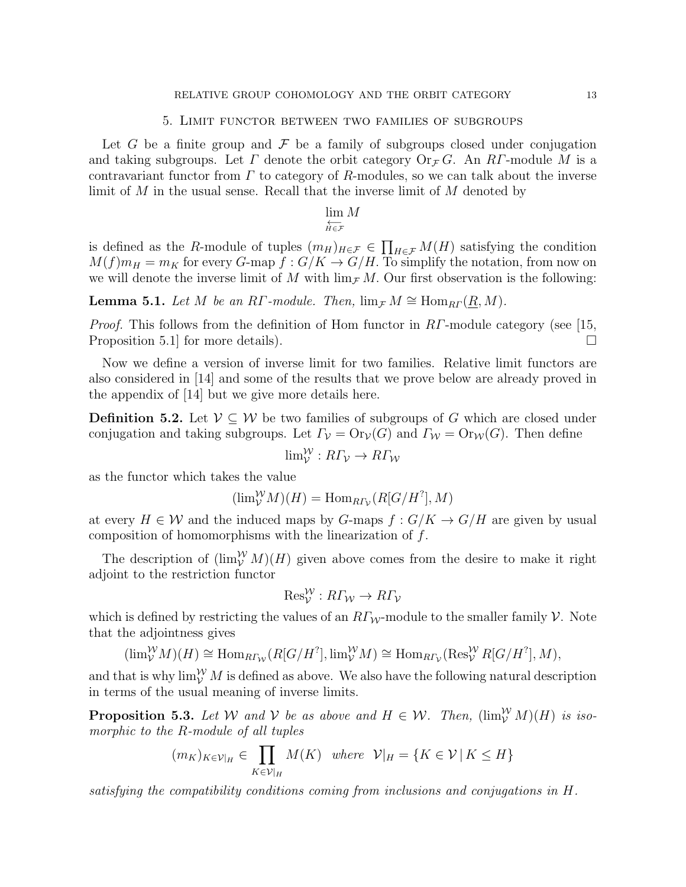#### 5. Limit functor between two families of subgroups

Let G be a finite group and  $\mathcal F$  be a family of subgroups closed under conjugation and taking subgroups. Let  $\Gamma$  denote the orbit category  $Or_{\mathcal{F}} G$ . An R $\Gamma$ -module M is a contravariant functor from  $\Gamma$  to category of R-modules, so we can talk about the inverse limit of M in the usual sense. Recall that the inverse limit of M denoted by

# $\lim_{n \to \infty} M$

$$
\overleftarrow{H\in\mathcal{F}}
$$

is defined as the R-module of tuples  $(m_H)_{H \in \mathcal{F}} \in \prod_{H \in \mathcal{F}} M(H)$  satisfying the condition  $M(f)m_H = m_K$  for every G-map  $f: G/K \to G/H$ . To simplify the notation, from now on we will denote the inverse limit of M with  $\lim_{\mathcal{F}} M$ . Our first observation is the following:

**Lemma 5.1.** Let M be an RΓ-module. Then,  $\lim_{\mathcal{F}} M \cong \text{Hom}_{\text{R}\Gamma}(\underline{R}, M)$ .

*Proof.* This follows from the definition of Hom functor in  $RT$ -module category (see [15, Proposition 5.1 for more details).

Now we define a version of inverse limit for two families. Relative limit functors are also considered in [14] and some of the results that we prove below are already proved in the appendix of [14] but we give more details here.

**Definition 5.2.** Let  $V \subseteq W$  be two families of subgroups of G which are closed under conjugation and taking subgroups. Let  $\Gamma_{\mathcal{V}} = \text{Or}_{\mathcal{V}}(G)$  and  $\Gamma_{\mathcal{W}} = \text{Or}_{\mathcal{W}}(G)$ . Then define

$$
\lim_{\mathcal{V}}^{\mathcal{W}} : R\Gamma_{\mathcal{V}} \to R\Gamma_{\mathcal{W}}
$$

as the functor which takes the value

$$
(\lim_{\mathcal{V}}^{\mathcal{W}} M)(H) = \text{Hom}_{R\Gamma_{\mathcal{V}}}(R[G/H^?], M)
$$

at every  $H \in \mathcal{W}$  and the induced maps by G-maps  $f: G/K \to G/H$  are given by usual composition of homomorphisms with the linearization of f.

The description of  $(\lim_{V}^{W} M)(H)$  given above comes from the desire to make it right adjoint to the restriction functor

$$
\text{Res}_{\mathcal{V}}^{\mathcal{W}} : R\Gamma_{\mathcal{W}} \to R\Gamma_{\mathcal{V}}
$$

which is defined by restricting the values of an  $RT_W$ -module to the smaller family  $\mathcal V$ . Note that the adjointness gives

$$
(\lim_{\mathcal{V}}^{\mathcal{W}} M)(H) \cong \text{Hom}_{R\Gamma_{\mathcal{W}}}(R[G/H^?], \lim_{\mathcal{V}}^{\mathcal{W}} M) \cong \text{Hom}_{R\Gamma_{\mathcal{V}}}(\text{Res}_{\mathcal{V}}^{\mathcal{W}} R[G/H^?], M),
$$

and that is why  $\lim_{\mathcal{V}}^{\mathcal{W}} M$  is defined as above. We also have the following natural description in terms of the usual meaning of inverse limits.

**Proposition 5.3.** Let W and V be as above and  $H \in \mathcal{W}$ . Then,  $(\lim_{V}^{W} M)(H)$  is isomorphic to the R-module of all tuples

$$
(m_K)_{K \in \mathcal{V}|_H} \in \prod_{K \in \mathcal{V}|_H} M(K) \quad where \quad \mathcal{V}|_H = \{ K \in \mathcal{V} | K \le H \}
$$

satisfying the compatibility conditions coming from inclusions and conjugations in H.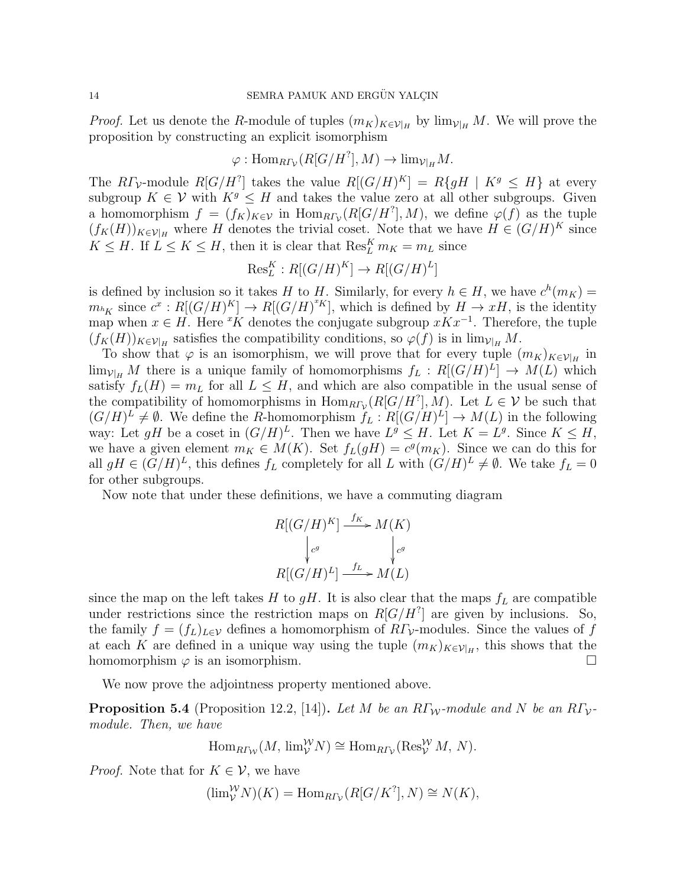*Proof.* Let us denote the R-module of tuples  $(m_K)_{K\in\mathcal{V}\vert_H}$  by  $\lim_{\mathcal{V}\vert_H} M$ . We will prove the proposition by constructing an explicit isomorphism

$$
\varphi: \operatorname{Hom}_{R\varGamma_{\mathcal{V}}}(R[G/H^?], M) \to \lim_{\mathcal{V}|_{H}} M.
$$

The  $R\Gamma_{\mathcal{V}}$ -module  $R[G/H^?]$  takes the value  $R[(G/H)^K] = R\{gH \mid K^g \leq H\}$  at every subgroup  $K \in \mathcal{V}$  with  $K^g \leq H$  and takes the value zero at all other subgroups. Given a homomorphism  $f = (f_K)_{K \in \mathcal{V}}$  in  $\text{Hom}_{R\Gamma_{\mathcal{V}}}(R[G/H^?], M)$ , we define  $\varphi(f)$  as the tuple  $(f_K(H))_{K\in\mathcal{V}|_H}$  where H denotes the trivial coset. Note that we have  $H \in (G/H)^K$  since  $K \leq H$ . If  $L \leq K \leq H$ , then it is clear that  $\text{Res}_{L}^{K} m_K = m_L$  since

$$
\text{Res}_L^K : R[(G/H)^K] \to R[(G/H)^L]
$$

is defined by inclusion so it takes H to H. Similarly, for every  $h \in H$ , we have  $c^h(m_K) =$  $m_{^hK}$  since  $c^x: R[(G/H)^K] \to R[(G/H)^{^xK}]$ , which is defined by  $H \to xH$ , is the identity map when  $x \in H$ . Here <sup>x</sup>K denotes the conjugate subgroup  $xKx^{-1}$ . Therefore, the tuple  $(f_K(H))_{K\in\mathcal{V}|_H}$  satisfies the compatibility conditions, so  $\varphi(f)$  is in  $\lim_{\mathcal{V}|_H} M$ .

To show that  $\varphi$  is an isomorphism, we will prove that for every tuple  $(m_K)_{K \in \mathcal{V} | H}$  in  $\lim_{\mathcal{V}\vert H} M$  there is a unique family of homomorphisms  $f_L : R[(G/H)^L] \to M(L)$  which satisfy  $f_L(H) = m_L$  for all  $L \leq H$ , and which are also compatible in the usual sense of the compatibility of homomorphisms in  $\text{Hom}_{\text{R}\Gamma_{\mathcal{V}}}(R[G/H^?], M)$ . Let  $L \in \mathcal{V}$  be such that  $(G/H)^{L} \neq \emptyset$ . We define the R-homomorphism  $f_L : R[(G/H)^{L}] \to M(L)$  in the following way: Let gH be a coset in  $(G/H)^L$ . Then we have  $L^g \leq H$ . Let  $K = L^g$ . Since  $K \leq H$ , we have a given element  $m_K \in M(K)$ . Set  $f_L(gH) = c^g(m_K)$ . Since we can do this for all  $gH \in (G/H)^L$ , this defines  $f_L$  completely for all L with  $(G/H)^L \neq \emptyset$ . We take  $f_L = 0$ for other subgroups.

Now note that under these definitions, we have a commuting diagram

$$
R[(G/H)^K] \xrightarrow{f_K} M(K)
$$
  

$$
\downarrow_{c^g} \qquad \qquad \downarrow_{c^g}
$$
  

$$
R[(G/H)^L] \xrightarrow{f_L} M(L)
$$

since the map on the left takes H to  $gH$ . It is also clear that the maps  $f<sub>L</sub>$  are compatible under restrictions since the restriction maps on  $R[G/H^?]$  are given by inclusions. So, the family  $f = (f_L)_{L \in \mathcal{V}}$  defines a homomorphism of  $R\Gamma_{\mathcal{V}}$ -modules. Since the values of f at each K are defined in a unique way using the tuple  $(m_K)_{K\in\mathcal{V}\vert_H}$ , this shows that the homomorphism  $\varphi$  is an isomorphism.

We now prove the adjointness property mentioned above.

**Proposition 5.4** (Proposition 12.2, [14]). Let M be an RΓ<sub>W</sub>-module and N be an RΓ<sub>V</sub>module. Then, we have

$$
\operatorname{Hom}_{R\varGamma_{\mathcal{W}}}(M, \, \lim_{\mathcal{V}}^{\mathcal{W}} N) \cong \operatorname{Hom}_{R\varGamma_{\mathcal{V}}}(\operatorname{Res}_{\mathcal{V}}^{\mathcal{W}} M, N).
$$

*Proof.* Note that for  $K \in \mathcal{V}$ , we have

$$
(\lim_{V}^{W} N)(K) = \text{Hom}_{R\Gamma_{V}}(R[G/K^{?}], N) \cong N(K),
$$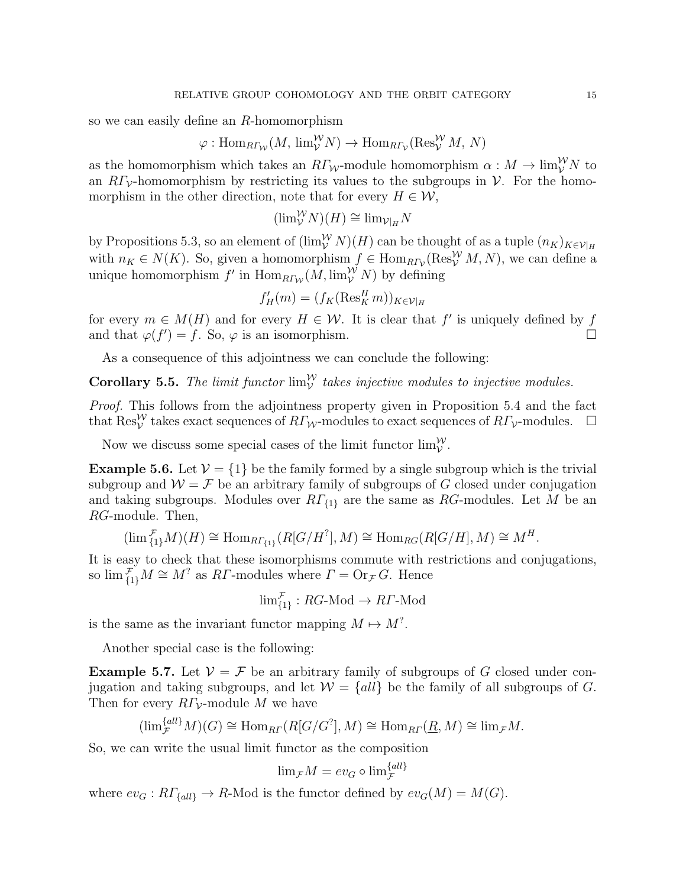so we can easily define an R-homomorphism

$$
\varphi: \text{Hom}_{R\Gamma_{\mathcal{W}}}(M, \text{lim}_{\mathcal{V}}^{\mathcal{W}}N) \to \text{Hom}_{R\Gamma_{\mathcal{V}}}(\text{Res}_{\mathcal{V}}^{\mathcal{W}}M, N)
$$

as the homomorphism which takes an  $R\Gamma_{\mathcal{W}}$ -module homomorphism  $\alpha: M \to \lim_{\mathcal{V}}^{\mathcal{W}} N$  to an  $R\Gamma_{\mathcal{V}}$ -homomorphism by restricting its values to the subgroups in  $\mathcal{V}$ . For the homomorphism in the other direction, note that for every  $H \in \mathcal{W}$ ,

$$
(\lim_{\mathcal{V}}^{\mathcal{W}} N)(H) \cong \lim_{\mathcal{V}|_{H}} N
$$

by Propositions 5.3, so an element of  $(\lim_{V}^{W} N)(H)$  can be thought of as a tuple  $(n_K)_{K \in \mathcal{V}|_H}$ with  $n_K \in N(K)$ . So, given a homomorphism  $f \in \text{Hom}_{R\Gamma_\mathcal{V}}(\text{Res}^\mathcal{W}_\mathcal{V} M, N)$ , we can define a unique homomorphism  $f'$  in  $\text{Hom}_{R\Gamma_{\mathcal{W}}}(M,\text{lim}_{\mathcal{V}}^{\mathcal{W}} N)$  by defining

$$
f'_H(m) = (f_K(\operatorname{Res}_K^H m))_{K \in \mathcal{V}|_H}
$$

for every  $m \in M(H)$  and for every  $H \in \mathcal{W}$ . It is clear that  $f'$  is uniquely defined by f and that  $\varphi(f') = f$ . So,  $\varphi$  is an isomorphism.

As a consequence of this adjointness we can conclude the following:

**Corollary 5.5.** The limit functor  $\lim_{V}^{W}$  takes injective modules to injective modules.

Proof. This follows from the adjointness property given in Proposition 5.4 and the fact that  $\text{Res}_{\mathcal{V}}^{\mathcal{W}}$  takes exact sequences of  $R\Gamma_{\mathcal{W}}$ -modules to exact sequences of  $R\Gamma_{\mathcal{V}}$ -modules.  $\Box$ 

Now we discuss some special cases of the limit functor  $\lim_{V}^{W}$ .

**Example 5.6.** Let  $V = \{1\}$  be the family formed by a single subgroup which is the trivial subgroup and  $W = \mathcal{F}$  be an arbitrary family of subgroups of G closed under conjugation and taking subgroups. Modules over  $RT_{\{1\}}$  are the same as RG-modules. Let M be an RG-module. Then,

$$
(\lim_{\{1\}}^{\mathcal{F}} M)(H) \cong \text{Hom}_{R\Gamma_{\{1\}}}(R[G/H^?], M) \cong \text{Hom}_{RG}(R[G/H], M) \cong M^H.
$$

It is easy to check that these isomorphisms commute with restrictions and conjugations, so  $\lim_{\{1\}}^{\mathcal{F}}M \cong M^?$  as R*Γ*-modules where  $\Gamma = \text{Or}_{\mathcal{F}}G$ . Hence

$$
\lim_{\{1\}}^{\mathcal{F}} : RG\text{-Mod} \to RT\text{-Mod}
$$

is the same as the invariant functor mapping  $M \mapsto M^?$ .

Another special case is the following:

**Example 5.7.** Let  $V = \mathcal{F}$  be an arbitrary family of subgroups of G closed under conjugation and taking subgroups, and let  $W = \{all\}$  be the family of all subgroups of G. Then for every  $R\Gamma_{\mathcal{V}}$ -module M we have

$$
(\lim_{\mathcal{F}}^{\{all\}} M)(G) \cong \text{Hom}_{R\Gamma}(R[G/G^?], M) \cong \text{Hom}_{R\Gamma}(\underline{R}, M) \cong \text{lim}_{\mathcal{F}} M.
$$

So, we can write the usual limit functor as the composition

$$
\lim_{\mathcal{F}} M = ev_G \circ \lim_{\mathcal{F}}^{\{all\}}
$$

where  $ev_G: R\Gamma_{\text{fall}} \to R\text{-Mod}$  is the functor defined by  $ev_G(M) = M(G)$ .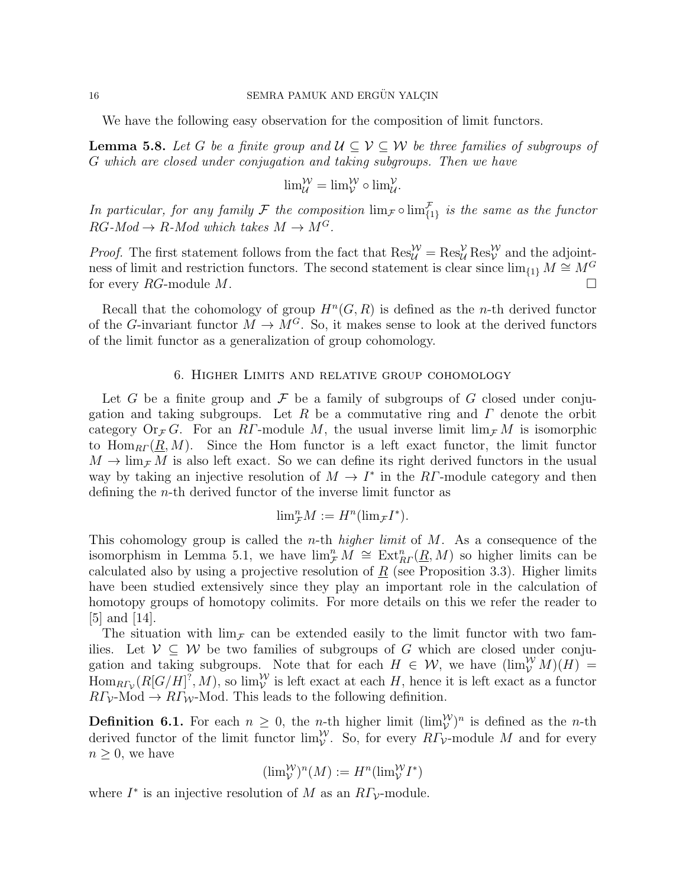We have the following easy observation for the composition of limit functors.

**Lemma 5.8.** Let G be a finite group and  $\mathcal{U} \subseteq \mathcal{V} \subseteq \mathcal{W}$  be three families of subgroups of G which are closed under conjugation and taking subgroups. Then we have

$$
\lim_{\mathcal{U}}^{\mathcal{W}} = \lim_{\mathcal{V}}^{\mathcal{W}} \circ \lim_{\mathcal{U}}^{\mathcal{V}}.
$$

In particular, for any family F the composition  $\lim_{\mathcal{F}} \circ \lim_{\{1\}} \mathcal{F}$  is the same as the functor  $RG\text{-}Mod \to R\text{-}Mod$  which takes  $M \to M^G$ .

*Proof.* The first statement follows from the fact that  $\text{Res}_{\mathcal{U}}^{\mathcal{W}} = \text{Res}_{\mathcal{U}}^{\mathcal{V}} \text{Res}_{\mathcal{V}}^{\mathcal{W}}$  and the adjointness of limit and restriction functors. The second statement is clear since  $\lim_{\{1\}} M \cong M^G$ for every  $RG$ -module  $M$ .

Recall that the cohomology of group  $H^n(G, R)$  is defined as the *n*-th derived functor of the G-invariant functor  $M \to M^G$ . So, it makes sense to look at the derived functors of the limit functor as a generalization of group cohomology.

## 6. Higher Limits and relative group cohomology

Let G be a finite group and F be a family of subgroups of G closed under conjugation and taking subgroups. Let R be a commutative ring and  $\Gamma$  denote the orbit category  $Or_{\mathcal{F}} G$ . For an RΓ-module M, the usual inverse limit  $\lim_{\mathcal{F}} M$  is isomorphic to  $\text{Hom}_{RF}(R, M)$ . Since the Hom functor is a left exact functor, the limit functor  $M \to \lim_{\mathcal{F}} M$  is also left exact. So we can define its right derived functors in the usual way by taking an injective resolution of  $M \to I^*$  in the RT-module category and then defining the n-th derived functor of the inverse limit functor as

$$
{\rm lim}_{\mathcal{F}}^{n}M:=H^{n}({\rm lim}_{\mathcal{F}}I^{\ast}).
$$

This cohomology group is called the *n*-th *higher limit* of  $M$ . As a consequence of the isomorphism in Lemma 5.1, we have  $\lim_{\mathcal{F}} M \cong \text{Ext}_{RF}^n(\underline{R},M)$  so higher limits can be calculated also by using a projective resolution of  $\underline{R}$  (see Proposition 3.3). Higher limits have been studied extensively since they play an important role in the calculation of homotopy groups of homotopy colimits. For more details on this we refer the reader to  $|5|$  and  $|14|$ .

The situation with  $\lim_{\mathcal{F}}$  can be extended easily to the limit functor with two families. Let  $V \subseteq W$  be two families of subgroups of G which are closed under conjugation and taking subgroups. Note that for each  $H \in \mathcal{W}$ , we have  $(\lim_{\mathcal{V}}^{\mathcal{W}} M)(H) =$  $\text{Hom}_{R\Gamma_{\mathcal{V}}}(R[G/H]^?, M)$ , so  $\lim_{\mathcal{V}}^{\mathcal{W}}$  is left exact at each H, hence it is left exact as a functor  $R\Gamma_{\mathcal{V}}$ -Mod  $\rightarrow R\Gamma_{\mathcal{W}}$ -Mod. This leads to the following definition.

**Definition 6.1.** For each  $n \geq 0$ , the *n*-th higher limit  $(\lim_{V}^{W})^{n}$  is defined as the *n*-th derived functor of the limit functor  $\lim_{\mathcal{V}}^{\mathcal{W}}$ . So, for every  $R\Gamma_{\mathcal{V}}$ -module M and for every  $n \geq 0$ , we have

$$
(\lim_{\mathcal{V}}^{\mathcal{W}})^n(M) := H^n(\lim_{\mathcal{V}}^{\mathcal{W}}I^*)
$$

where  $I^*$  is an injective resolution of M as an  $R\Gamma_{\mathcal{V}}$ -module.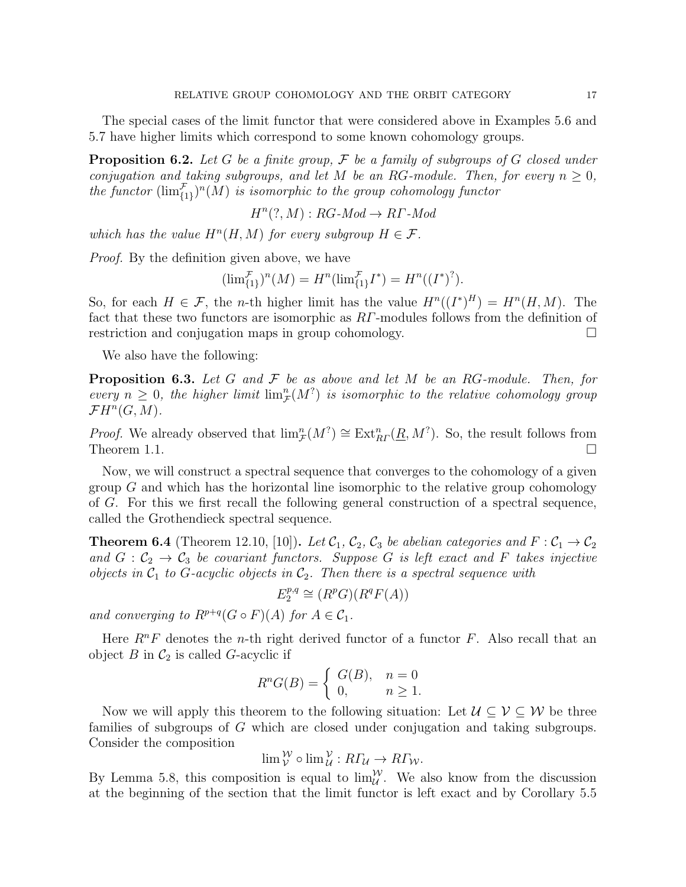The special cases of the limit functor that were considered above in Examples 5.6 and 5.7 have higher limits which correspond to some known cohomology groups.

**Proposition 6.2.** Let G be a finite group,  $\mathcal F$  be a family of subgroups of G closed under conjugation and taking subgroups, and let M be an RG-module. Then, for every  $n \geq 0$ , the functor  $(\lim_{\{1\}}^{\mathcal{F}})^n(M)$  is isomorphic to the group cohomology functor

$$
H^n(?, M) : RG\text{-}Mod \to RT\text{-}Mod
$$

which has the value  $H^n(H, M)$  for every subgroup  $H \in \mathcal{F}$ .

Proof. By the definition given above, we have

$$
(\lim_{\{1\}}^{\mathcal{F}})^n(M) = H^n(\lim_{\{1\}}^{\mathcal{F}}I^*) = H^n((I^*)^?).
$$

So, for each  $H \in \mathcal{F}$ , the *n*-th higher limit has the value  $H^{n}((I^*)^H) = H^{n}(H, M)$ . The fact that these two functors are isomorphic as RΓ-modules follows from the definition of restriction and conjugation maps in group cohomology.

We also have the following:

**Proposition 6.3.** Let G and  $\mathcal F$  be as above and let M be an RG-module. Then, for every  $n \geq 0$ , the higher limit  $\lim_{\mathcal{F}}^n(M^2)$  is isomorphic to the relative cohomology group  $\mathcal{F}H^n(G,M).$ 

*Proof.* We already observed that  $\lim_{\mathcal{F}}^n(M^? \cong \text{Ext}_{RF}^n(\underline{R}, M^?)$ . So, the result follows from Theorem 1.1.  $\Box$ 

Now, we will construct a spectral sequence that converges to the cohomology of a given group  $G$  and which has the horizontal line isomorphic to the relative group cohomology of G. For this we first recall the following general construction of a spectral sequence, called the Grothendieck spectral sequence.

**Theorem 6.4** (Theorem 12.10, [10]). Let  $\mathcal{C}_1$ ,  $\mathcal{C}_2$ ,  $\mathcal{C}_3$  be abelian categories and  $F : \mathcal{C}_1 \to \mathcal{C}_2$ and  $G: \mathcal{C}_2 \to \mathcal{C}_3$  be covariant functors. Suppose G is left exact and F takes injective objects in  $C_1$  to G-acyclic objects in  $C_2$ . Then there is a spectral sequence with

$$
E_2^{p,q} \cong (R^p G)(R^q F(A))
$$

and converging to  $R^{p+q}(G \circ F)(A)$  for  $A \in \mathcal{C}_1$ .

Here  $R^nF$  denotes the *n*-th right derived functor of a functor F. Also recall that an object  $B$  in  $C_2$  is called G-acyclic if

$$
R^n G(B) = \begin{cases} G(B), & n = 0 \\ 0, & n \ge 1. \end{cases}
$$

Now we will apply this theorem to the following situation: Let  $\mathcal{U} \subset \mathcal{V} \subset \mathcal{W}$  be three families of subgroups of G which are closed under conjugation and taking subgroups. Consider the composition

$$
\lim_{\mathcal{V}} \mathcal{W} \circ \lim_{\mathcal{U}} \mathcal{V} : R\Gamma_{\mathcal{U}} \to R\Gamma_{\mathcal{W}}.
$$

By Lemma 5.8, this composition is equal to  $\lim_{\mathcal{U}}^{\mathcal{W}}$ . We also know from the discussion at the beginning of the section that the limit functor is left exact and by Corollary 5.5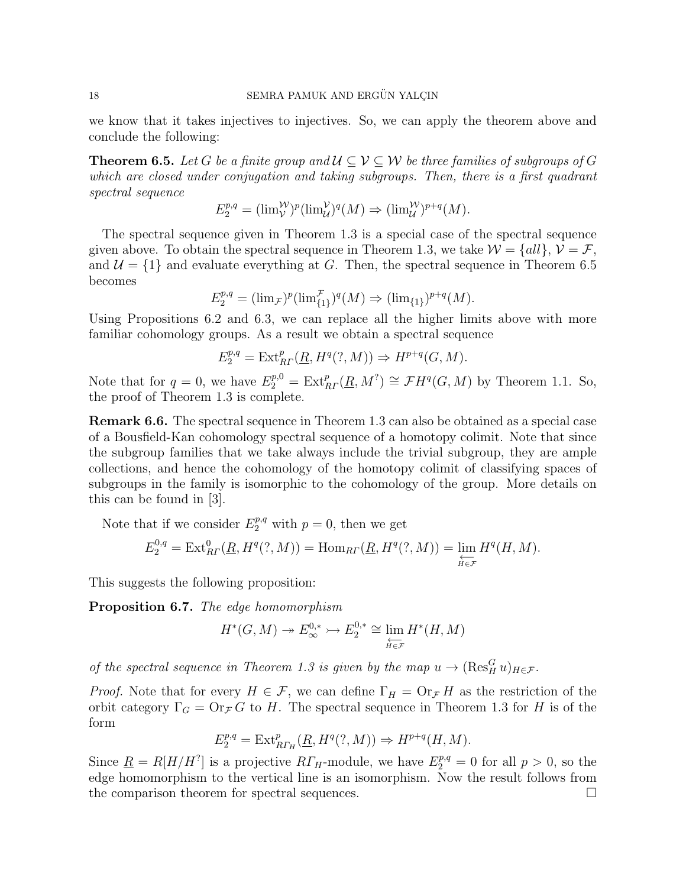we know that it takes injectives to injectives. So, we can apply the theorem above and conclude the following:

**Theorem 6.5.** Let G be a finite group and  $\mathcal{U} \subset \mathcal{V} \subset \mathcal{W}$  be three families of subgroups of G which are closed under conjugation and taking subgroups. Then, there is a first quadrant spectral sequence

$$
E_2^{p,q} = (\lim_{V} \mathcal{W})^p (\lim_{\mathcal{U}} \mathcal{Y})^q (M) \Rightarrow (\lim_{\mathcal{U}} \mathcal{W})^{p+q} (M).
$$

The spectral sequence given in Theorem 1.3 is a special case of the spectral sequence given above. To obtain the spectral sequence in Theorem 1.3, we take  $\mathcal{W} = \{all\}, \mathcal{V} = \mathcal{F},$ and  $\mathcal{U} = \{1\}$  and evaluate everything at G. Then, the spectral sequence in Theorem 6.5 becomes

$$
E_2^{p,q} = (\lim_{\mathcal{F}})^p (\lim_{\{1\}}^{\mathcal{F}})^q (M) \Rightarrow (\lim_{\{1\}})^{p+q} (M).
$$

Using Propositions 6.2 and 6.3, we can replace all the higher limits above with more familiar cohomology groups. As a result we obtain a spectral sequence

$$
E_2^{p,q} = \text{Ext}_{R}^p(\underline{R}, H^q(?, M)) \Rightarrow H^{p+q}(G, M).
$$

Note that for  $q = 0$ , we have  $E_2^{p,0} = \text{Ext}_{RP}^p(\underline{R}, M^? ) \cong \mathcal{F}H^q(G, M)$  by Theorem 1.1. So, the proof of Theorem 1.3 is complete.

Remark 6.6. The spectral sequence in Theorem 1.3 can also be obtained as a special case of a Bousfield-Kan cohomology spectral sequence of a homotopy colimit. Note that since the subgroup families that we take always include the trivial subgroup, they are ample collections, and hence the cohomology of the homotopy colimit of classifying spaces of subgroups in the family is isomorphic to the cohomology of the group. More details on this can be found in [3].

Note that if we consider  $E_2^{p,q}$  with  $p = 0$ , then we get

$$
E_2^{0,q} = \text{Ext}_{R\Gamma}^0(\underline{R}, H^q(?, M)) = \text{Hom}_{R\Gamma}(\underline{R}, H^q(?, M)) = \varprojlim_{H \in \mathcal{F}} H^q(H, M).
$$

This suggests the following proposition:

Proposition 6.7. The edge homomorphism

$$
H^*(G, M) \to E^{0,*}_{\infty} \to E^{0,*}_{2} \cong \lim_{\substack{\longleftarrow \\ H \in \mathcal{F}}} H^*(H, M)
$$

of the spectral sequence in Theorem 1.3 is given by the map  $u \to (\text{Res}_{H}^{G} u)_{H \in \mathcal{F}}$ .

*Proof.* Note that for every  $H \in \mathcal{F}$ , we can define  $\Gamma_H = \text{Or}_{\mathcal{F}} H$  as the restriction of the orbit category  $\Gamma_G = \text{Or}_{\mathcal{F}} G$  to H. The spectral sequence in Theorem 1.3 for H is of the form

$$
E_2^{p,q} = \operatorname{Ext}^p_{R\varGamma_H}(\underline{R},H^q(?,M)) \Rightarrow H^{p+q}(H,M).
$$

Since  $\underline{R} = R[H/H^2]$  is a projective  $R\Gamma_H$ -module, we have  $E_2^{p,q} = 0$  for all  $p > 0$ , so the edge homomorphism to the vertical line is an isomorphism. Now the result follows from the comparison theorem for spectral sequences.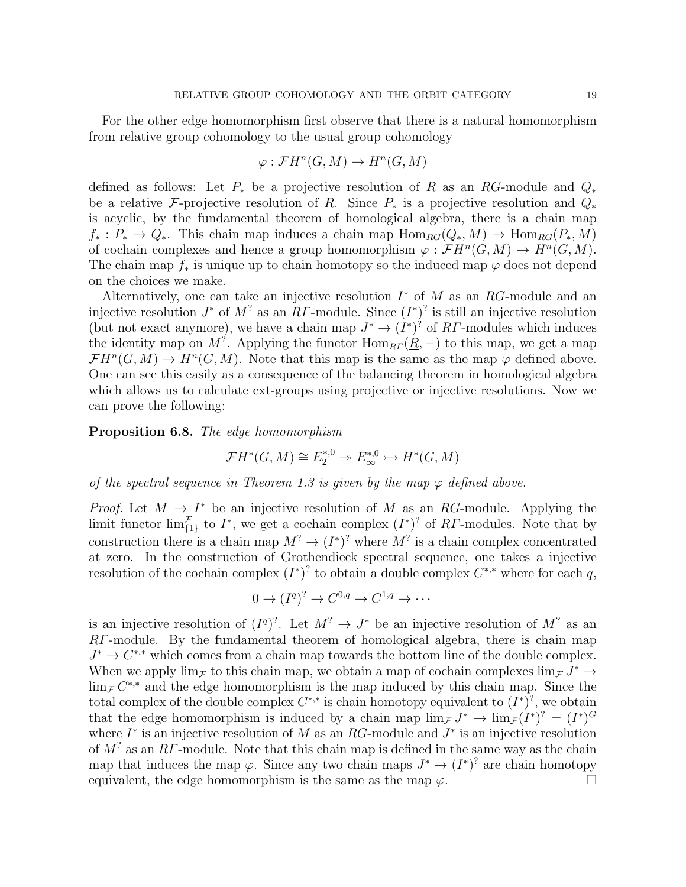For the other edge homomorphism first observe that there is a natural homomorphism from relative group cohomology to the usual group cohomology

$$
\varphi: \mathcal{F}H^n(G, M) \to H^n(G, M)
$$

defined as follows: Let  $P_*$  be a projective resolution of R as an RG-module and  $Q_*$ be a relative F-projective resolution of R. Since  $P_*$  is a projective resolution and  $Q_*$ is acyclic, by the fundamental theorem of homological algebra, there is a chain map  $f_*: P_* \to Q_*$ . This chain map induces a chain map  $\text{Hom}_{RG}(Q_*, M) \to \text{Hom}_{RG}(P_*, M)$ of cochain complexes and hence a group homomorphism  $\varphi : \mathcal{F}H^n(G,M) \to H^n(G,M)$ . The chain map  $f_*$  is unique up to chain homotopy so the induced map  $\varphi$  does not depend on the choices we make.

Alternatively, one can take an injective resolution  $I^*$  of M as an RG-module and an injective resolution  $J^*$  of  $M^?$  as an RT-module. Since  $(I^*)^?$  is still an injective resolution (but not exact anymore), we have a chain map  $J^* \to (I^*)^?$  of RT-modules which induces the identity map on M<sup>?</sup>. Applying the functor  $\text{Hom}_{\text{R}\Gamma}(\underline{R},-)$  to this map, we get a map  $\mathcal{F}H^{n}(G,M) \to H^{n}(G,M)$ . Note that this map is the same as the map  $\varphi$  defined above. One can see this easily as a consequence of the balancing theorem in homological algebra which allows us to calculate ext-groups using projective or injective resolutions. Now we can prove the following:

Proposition 6.8. The edge homomorphism

$$
\mathcal{F}H^*(G,M) \cong E_2^{*,0} \to E_\infty^{*,0} \to H^*(G,M)
$$

of the spectral sequence in Theorem 1.3 is given by the map  $\varphi$  defined above.

*Proof.* Let  $M \to I^*$  be an injective resolution of M as an RG-module. Applying the limit functor  $\lim_{\{1\}}^{\mathcal{F}}$  to  $I^*$ , we get a cochain complex  $(I^*)^?$  of RT-modules. Note that by construction there is a chain map  $M^? \to (I^*)^?$  where  $M^?$  is a chain complex concentrated at zero. In the construction of Grothendieck spectral sequence, one takes a injective resolution of the cochain complex  $(I^*)^?$  to obtain a double complex  $C^{*,*}$  where for each q,

$$
0 \to (I^q)^? \to C^{0,q} \to C^{1,q} \to \cdots
$$

is an injective resolution of  $(I^q)^?$ . Let  $M^? \to J^*$  be an injective resolution of  $M^?$  as an RΓ-module. By the fundamental theorem of homological algebra, there is chain map  $J^* \to C^{*,*}$  which comes from a chain map towards the bottom line of the double complex. When we apply  $\lim_{\mathcal{F}}$  to this chain map, we obtain a map of cochain complexes  $\lim_{\mathcal{F}} J^* \to$  $\lim_{\mathcal{F}} C^{**}$  and the edge homomorphism is the map induced by this chain map. Since the total complex of the double complex  $C^{*,*}$  is chain homotopy equivalent to  $(I^*)^?$ , we obtain that the edge homomorphism is induced by a chain map  $\lim_{\mathcal{F}} J^* \to \lim_{\mathcal{F}} (I^*)^2 = (I^*)^G$ where  $I^*$  is an injective resolution of M as an RG-module and  $J^*$  is an injective resolution of  $M^?$  as an RΓ-module. Note that this chain map is defined in the same way as the chain map that induces the map  $\varphi$ . Since any two chain maps  $J^* \to (I^*)^2$  are chain homotopy equivalent, the edge homomorphism is the same as the map  $\varphi$ .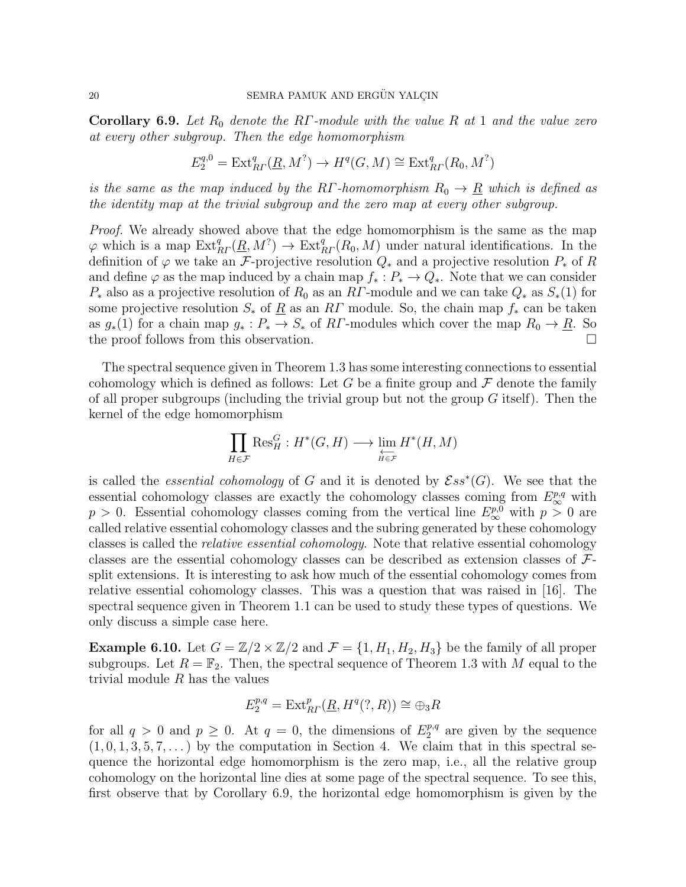**Corollary 6.9.** Let  $R_0$  denote the RΓ-module with the value R at 1 and the value zero at every other subgroup. Then the edge homomorphism

$$
E_2^{q,0} = \text{Ext}_{R\Gamma}^q(\underline{R},M^?) \to H^q(G,M) \cong \text{Ext}_{R\Gamma}^q(R_0,M^?)
$$

is the same as the map induced by the RΓ-homomorphism  $R_0 \rightarrow \underline{R}$  which is defined as the identity map at the trivial subgroup and the zero map at every other subgroup.

Proof. We already showed above that the edge homomorphism is the same as the map  $\varphi$  which is a map  $\text{Ext}_{R\Gamma}^q(\underline{R},M^?) \to \text{Ext}_{R\Gamma}^q(R_0,M)$  under natural identifications. In the definition of  $\varphi$  we take an F-projective resolution  $Q_*$  and a projective resolution  $P_*$  of R and define  $\varphi$  as the map induced by a chain map  $f_*: P_* \to Q_*$ . Note that we can consider  $P_*$  also as a projective resolution of  $R_0$  as an RT-module and we can take  $Q_*$  as  $S_*(1)$  for some projective resolution  $S_*$  of  $\underline{R}$  as an  $R\Gamma$  module. So, the chain map  $f_*$  can be taken as  $g_*(1)$  for a chain map  $g_* : P_* \to S_*$  of RT-modules which cover the map  $R_0 \to \underline{R}$ . So the proof follows from this observation.

The spectral sequence given in Theorem 1.3 has some interesting connections to essential cohomology which is defined as follows: Let G be a finite group and  $\mathcal F$  denote the family of all proper subgroups (including the trivial group but not the group  $G$  itself). Then the kernel of the edge homomorphism

$$
\prod_{H \in \mathcal{F}} \text{Res}_H^G : H^*(G, H) \longrightarrow \varprojlim_{H \in \mathcal{F}} H^*(H, M)
$$

is called the *essential cohomology* of G and it is denoted by  $\mathcal{E}ss^*(G)$ . We see that the essential cohomology classes are exactly the cohomology classes coming from  $E^{p,q}_{\infty}$  with  $p > 0$ . Essential cohomology classes coming from the vertical line  $E_{\infty}^{p,0}$  with  $p > 0$  are called relative essential cohomology classes and the subring generated by these cohomology classes is called the relative essential cohomology. Note that relative essential cohomology classes are the essential cohomology classes can be described as extension classes of Fsplit extensions. It is interesting to ask how much of the essential cohomology comes from relative essential cohomology classes. This was a question that was raised in [16]. The spectral sequence given in Theorem 1.1 can be used to study these types of questions. We only discuss a simple case here.

**Example 6.10.** Let  $G = \mathbb{Z}/2 \times \mathbb{Z}/2$  and  $\mathcal{F} = \{1, H_1, H_2, H_3\}$  be the family of all proper subgroups. Let  $R = \mathbb{F}_2$ . Then, the spectral sequence of Theorem 1.3 with M equal to the trivial module  $R$  has the values

$$
E_2^{p,q} = \text{Ext}_{R}^p(\underline{R}, H^q(?, R)) \cong \bigoplus_3 R
$$

for all  $q > 0$  and  $p \ge 0$ . At  $q = 0$ , the dimensions of  $E_2^{p,q}$  $2^{p,q}$  are given by the sequence  $(1, 0, 1, 3, 5, 7, \ldots)$  by the computation in Section 4. We claim that in this spectral sequence the horizontal edge homomorphism is the zero map, i.e., all the relative group cohomology on the horizontal line dies at some page of the spectral sequence. To see this, first observe that by Corollary 6.9, the horizontal edge homomorphism is given by the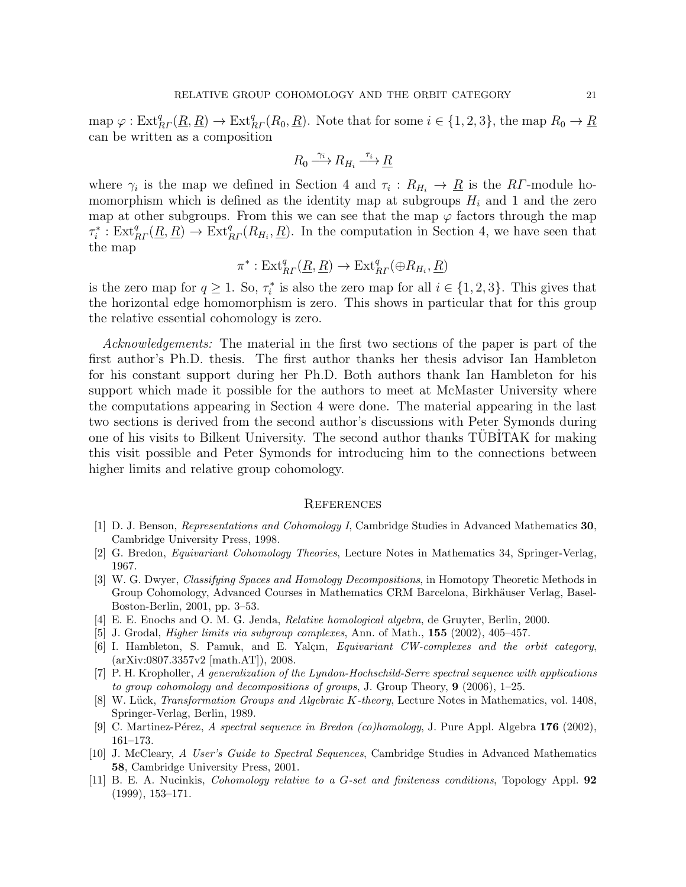map  $\varphi: \text{Ext}_{R}^q(\underline{R}, \underline{R}) \to \text{Ext}_{R}^q(R_0, \underline{R})$ . Note that for some  $i \in \{1, 2, 3\}$ , the map  $R_0 \to \underline{R}$ can be written as a composition

$$
R_0 \xrightarrow{\gamma_i} R_{H_i} \xrightarrow{\tau_i} \underline{R}
$$

where  $\gamma_i$  is the map we defined in Section 4 and  $\tau_i: R_{H_i} \to \underline{R}$  is the RT-module homomorphism which is defined as the identity map at subgroups  $H_i$  and 1 and the zero map at other subgroups. From this we can see that the map  $\varphi$  factors through the map  $\tau_i^* : \text{Ext}_{R}^q(\underline{R}, \underline{R}) \to \text{Ext}_{R}^q(R_{H_i}, \underline{R})$ . In the computation in Section 4, we have seen that the map

$$
\pi^* : \text{Ext}^q_{\text{R}^r}(\underline{R}, \underline{R}) \to \text{Ext}^q_{\text{R}^r}(\oplus R_{H_i}, \underline{R})
$$

is the zero map for  $q \geq 1$ . So,  $\tau_i^*$  is also the zero map for all  $i \in \{1, 2, 3\}$ . This gives that the horizontal edge homomorphism is zero. This shows in particular that for this group the relative essential cohomology is zero.

Acknowledgements: The material in the first two sections of the paper is part of the first author's Ph.D. thesis. The first author thanks her thesis advisor Ian Hambleton for his constant support during her Ph.D. Both authors thank Ian Hambleton for his support which made it possible for the authors to meet at McMaster University where the computations appearing in Section 4 were done. The material appearing in the last two sections is derived from the second author's discussions with Peter Symonds during one of his visits to Bilkent University. The second author thanks TUBITAK for making this visit possible and Peter Symonds for introducing him to the connections between higher limits and relative group cohomology.

#### **REFERENCES**

- [1] D. J. Benson, Representations and Cohomology I, Cambridge Studies in Advanced Mathematics 30, Cambridge University Press, 1998.
- [2] G. Bredon, Equivariant Cohomology Theories, Lecture Notes in Mathematics 34, Springer-Verlag, 1967.
- [3] W. G. Dwyer, Classifying Spaces and Homology Decompositions, in Homotopy Theoretic Methods in Group Cohomology, Advanced Courses in Mathematics CRM Barcelona, Birkhäuser Verlag, Basel-Boston-Berlin, 2001, pp. 3–53.
- [4] E. E. Enochs and O. M. G. Jenda, Relative homological algebra, de Gruyter, Berlin, 2000.
- [5] J. Grodal, Higher limits via subgroup complexes, Ann. of Math., 155 (2002), 405–457.
- [6] I. Hambleton, S. Pamuk, and E. Yalçın, *Equivariant CW-complexes and the orbit category*, (arXiv:0807.3357v2 [math.AT]), 2008.
- [7] P. H. Kropholler, A generalization of the Lyndon-Hochschild-Serre spectral sequence with applications to group cohomology and decompositions of groups, J. Group Theory,  $9$  (2006), 1–25.
- [8] W. Lück, Transformation Groups and Algebraic K-theory, Lecture Notes in Mathematics, vol. 1408, Springer-Verlag, Berlin, 1989.
- [9] C. Martinez-Pérez, A spectral sequence in Bredon (co)homology, J. Pure Appl. Algebra  $176$  (2002), 161–173.
- [10] J. McCleary, A User's Guide to Spectral Sequences, Cambridge Studies in Advanced Mathematics 58, Cambridge University Press, 2001.
- [11] B. E. A. Nucinkis, Cohomology relative to a G-set and finiteness conditions, Topology Appl. 92 (1999), 153–171.